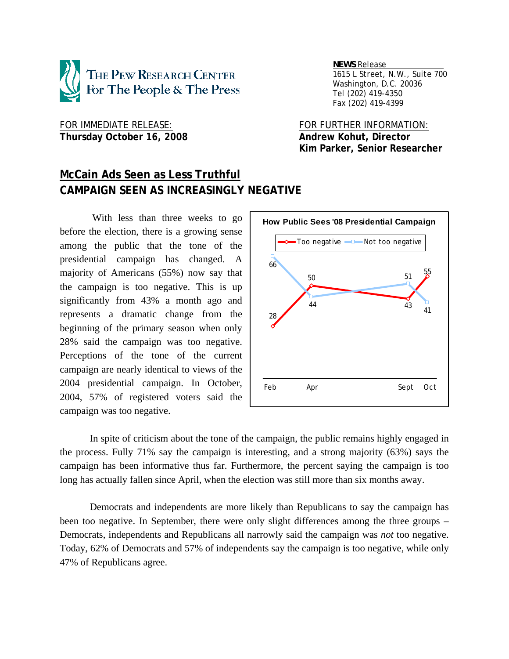

 *NEWS Release . 1615 L Street, N.W., Suite 700 Washington, D.C. 20036 Tel (202) 419-4350 Fax (202) 419-4399*

FOR IMMEDIATE RELEASE: FOR FURTHER INFORMATION: Thursday October 16, 2008 **Andrew Kohut, Director** 

 **Kim Parker, Senior Researcher** 

# **McCain Ads Seen as Less Truthful CAMPAIGN SEEN AS INCREASINGLY NEGATIVE**

 With less than three weeks to go before the election, there is a growing sense among the public that the tone of the presidential campaign has changed. A majority of Americans (55%) now say that the campaign is too negative. This is up significantly from 43% a month ago and represents a dramatic change from the beginning of the primary season when only 28% said the campaign was too negative. Perceptions of the tone of the current campaign are nearly identical to views of the 2004 presidential campaign. In October, 2004, 57% of registered voters said the campaign was too negative.



 In spite of criticism about the tone of the campaign, the public remains highly engaged in the process. Fully 71% say the campaign is interesting, and a strong majority (63%) says the campaign has been informative thus far. Furthermore, the percent saying the campaign is too long has actually fallen since April, when the election was still more than six months away.

 Democrats and independents are more likely than Republicans to say the campaign has been too negative. In September, there were only slight differences among the three groups – Democrats, independents and Republicans all narrowly said the campaign was *not* too negative. Today, 62% of Democrats and 57% of independents say the campaign is too negative, while only 47% of Republicans agree.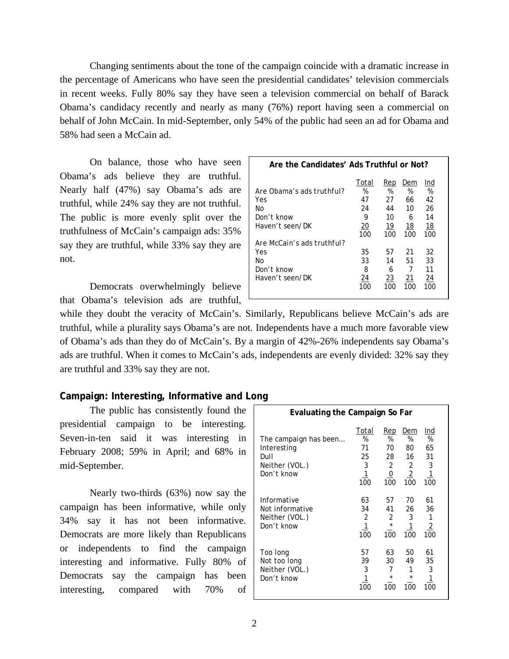Changing sentiments about the tone of the campaign coincide with a dramatic increase in the percentage of Americans who have seen the presidential candidates' television commercials in recent weeks. Fully 80% say they have seen a television commercial on behalf of Barack Obama's candidacy recently and nearly as many (76%) report having seen a commercial on behalf of John McCain. In mid-September, only 54% of the public had seen an ad for Obama and 58% had seen a McCain ad.

 On balance, those who have seen Obama's ads believe they are truthful. Nearly half (47%) say Obama's ads are truthful, while 24% say they are not truthful. The public is more evenly split over the truthfulness of McCain's campaign ads: 35% say they are truthful, while 33% say they are not.

 Democrats overwhelmingly believe that Obama's television ads are truthful,

| Are the Candidates' Ads Truthful or Not?                                |                                   |                                  |                                 |                                  |  |  |  |  |
|-------------------------------------------------------------------------|-----------------------------------|----------------------------------|---------------------------------|----------------------------------|--|--|--|--|
| Are Obama's ads truthful?<br>Yes<br>No<br>Don't know<br>Haven't seen/DK | Total<br>%<br>47<br>24<br>9<br>20 | Rep<br>%<br>27<br>44<br>10<br>19 | Dem<br>%<br>66<br>10<br>6<br>18 | Ind<br>%<br>42<br>26<br>14<br>18 |  |  |  |  |
| Are McCain's ads truthful?                                              | 100                               | 100                              | 100                             | 100                              |  |  |  |  |
| Yes<br>No<br>Don't know<br>Haven't seen/DK                              | 35<br>33<br>8<br>24<br>100        | 57<br>14<br>6<br>23<br>100       | 21<br>51<br>7<br>21<br>100      | 32<br>33<br>11<br>24             |  |  |  |  |

while they doubt the veracity of McCain's. Similarly, Republicans believe McCain's ads are truthful, while a plurality says Obama's are not. Independents have a much more favorable view of Obama's ads than they do of McCain's. By a margin of 42%-26% independents say Obama's ads are truthful. When it comes to McCain's ads, independents are evenly divided: 32% say they are truthful and 33% say they are not.

## **Campaign: Interesting, Informative and Long**

 The public has consistently found the presidential campaign to be interesting. Seven-in-ten said it was interesting in February 2008; 59% in April; and 68% in mid-September.

 Nearly two-thirds (63%) now say the campaign has been informative, while only 34% say it has not been informative. Democrats are more likely than Republicans or independents to find the campaign interesting and informative. Fully 80% of Democrats say the campaign has been interesting, compared with 70% of

| J                                                                            |                                                      |                                                    |                                                                 |                                               |  |  |  |  |  |
|------------------------------------------------------------------------------|------------------------------------------------------|----------------------------------------------------|-----------------------------------------------------------------|-----------------------------------------------|--|--|--|--|--|
| Evaluating the Campaign So Far                                               |                                                      |                                                    |                                                                 |                                               |  |  |  |  |  |
| The campaign has been<br>Interesting<br>Dull<br>Neither (VOL.)<br>Don't know | Total<br>%<br>71<br>25<br>3<br>$\overline{1}$<br>100 | Rep<br>%<br>70<br>28<br>2<br>$\overline{0}$<br>100 | Dem<br>%<br>80<br>16<br>$\overline{2}$<br>$\overline{2}$<br>100 | Ind<br>%<br>65<br>31<br>3<br><u> 1</u><br>100 |  |  |  |  |  |
| Informative<br>Not informative<br>Neither (VOL.)<br>Don't know               | 63<br>34<br>2<br>$\overline{1}$<br>100               | 57<br>41<br>2<br>$\star$<br>100                    | 70<br>26<br>3<br>1<br>100                                       | 61<br>36<br>1<br>$\overline{2}$<br>100        |  |  |  |  |  |
| Too long<br>Not too long<br>Neither (VOL.)<br>Don't know                     | 57<br>39<br>3<br>100                                 | 63<br>30<br>7<br>$\star$<br>100                    | 50<br>49<br>1<br>$\star$<br>100                                 | 61<br>35<br>3<br>1<br>100                     |  |  |  |  |  |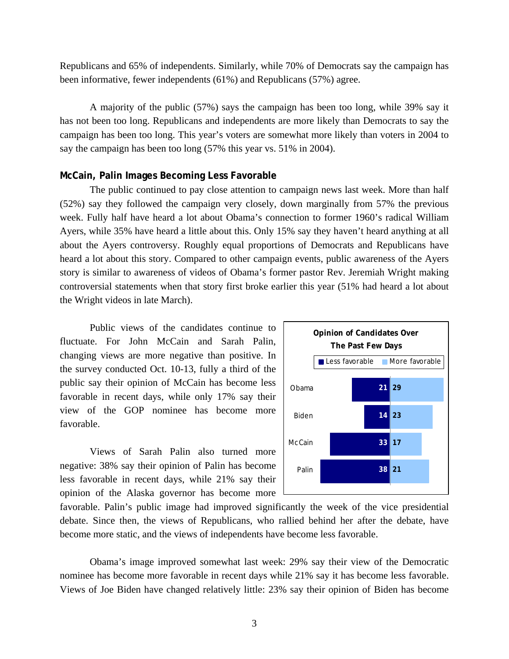Republicans and 65% of independents. Similarly, while 70% of Democrats say the campaign has been informative, fewer independents (61%) and Republicans (57%) agree.

 A majority of the public (57%) says the campaign has been too long, while 39% say it has not been too long. Republicans and independents are more likely than Democrats to say the campaign has been too long. This year's voters are somewhat more likely than voters in 2004 to say the campaign has been too long (57% this year vs. 51% in 2004).

## **McCain, Palin Images Becoming Less Favorable**

 The public continued to pay close attention to campaign news last week. More than half (52%) say they followed the campaign very closely, down marginally from 57% the previous week. Fully half have heard a lot about Obama's connection to former 1960's radical William Ayers, while 35% have heard a little about this. Only 15% say they haven't heard anything at all about the Ayers controversy. Roughly equal proportions of Democrats and Republicans have heard a lot about this story. Compared to other campaign events, public awareness of the Ayers story is similar to awareness of videos of Obama's former pastor Rev. Jeremiah Wright making controversial statements when that story first broke earlier this year (51% had heard a lot about the Wright videos in late March).

 Public views of the candidates continue to fluctuate. For John McCain and Sarah Palin, changing views are more negative than positive. In the survey conducted Oct. 10-13, fully a third of the public say their opinion of McCain has become less favorable in recent days, while only 17% say their view of the GOP nominee has become more favorable.

 Views of Sarah Palin also turned more negative: 38% say their opinion of Palin has become less favorable in recent days, while 21% say their opinion of the Alaska governor has become more



favorable. Palin's public image had improved significantly the week of the vice presidential debate. Since then, the views of Republicans, who rallied behind her after the debate, have become more static, and the views of independents have become less favorable.

 Obama's image improved somewhat last week: 29% say their view of the Democratic nominee has become more favorable in recent days while 21% say it has become less favorable. Views of Joe Biden have changed relatively little: 23% say their opinion of Biden has become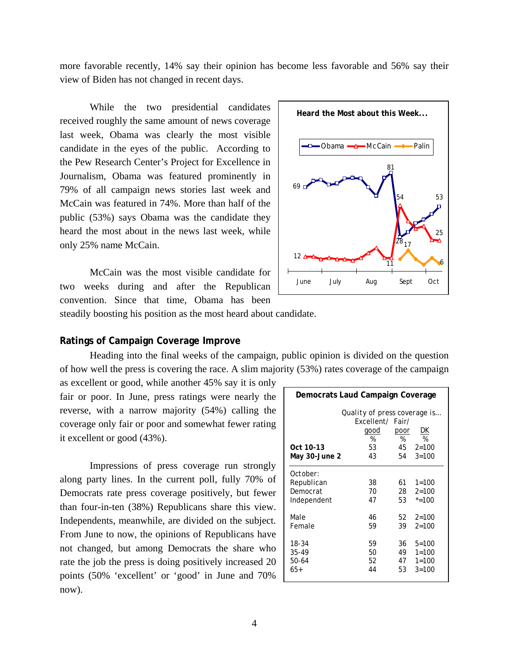more favorable recently, 14% say their opinion has become less favorable and 56% say their view of Biden has not changed in recent days.

 While the two presidential candidates received roughly the same amount of news coverage last week, Obama was clearly the most visible candidate in the eyes of the public. According to the Pew Research Center's Project for Excellence in Journalism, Obama was featured prominently in 79% of all campaign news stories last week and McCain was featured in 74%. More than half of the public (53%) says Obama was the candidate they heard the most about in the news last week, while only 25% name McCain.

 McCain was the most visible candidate for two weeks during and after the Republican convention. Since that time, Obama has been



steadily boosting his position as the most heard about candidate.

## **Ratings of Campaign Coverage Improve**

Heading into the final weeks of the campaign, public opinion is divided on the question of how well the press is covering the race. A slim majority (53%) rates coverage of the campaign

as excellent or good, while another 45% say it is only fair or poor. In June, press ratings were nearly the reverse, with a narrow majority (54%) calling the coverage only fair or poor and somewhat fewer rating it excellent or good (43%).

Impressions of press coverage run strongly along party lines. In the current poll, fully 70% of Democrats rate press coverage positively, but fewer than four-in-ten (38%) Republicans share this view. Independents, meanwhile, are divided on the subject. From June to now, the opinions of Republicans have not changed, but among Democrats the share who rate the job the press is doing positively increased 20 points (50% 'excellent' or 'good' in June and 70% now).

| Democrats Laud Campaign Coverage                         |                                                                           |                      |                                                  |  |  |  |
|----------------------------------------------------------|---------------------------------------------------------------------------|----------------------|--------------------------------------------------|--|--|--|
| Oct 10-13<br>May 30-June 2                               | Quality of press coverage is<br>Excellent/ Fair/<br>good<br>%<br>53<br>43 | poor<br>%<br>54      | DK<br>%<br>$45 \quad 2=100$<br>$3 = 100$         |  |  |  |
| <i>October:</i><br>Republican<br>Democrat<br>Independent | 38<br>70<br>47                                                            | 61<br>28<br>53       | $1 = 100$<br>$2 = 100$<br>$* = 100$              |  |  |  |
| Male<br>Female                                           | 46<br>59                                                                  | 39                   | $52 \quad 2=100$<br>$2 = 100$                    |  |  |  |
| 18-34<br>35-49<br>50-64<br>$65+$                         | 59<br>50<br>52<br>44                                                      | 36<br>49<br>47<br>53 | $5 = 100$<br>$1 = 100$<br>$1 = 100$<br>$3 = 100$ |  |  |  |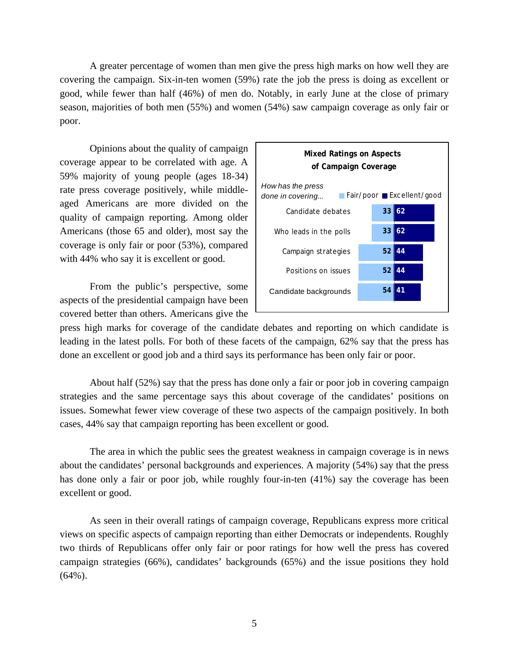A greater percentage of women than men give the press high marks on how well they are covering the campaign. Six-in-ten women (59%) rate the job the press is doing as excellent or good, while fewer than half (46%) of men do. Notably, in early June at the close of primary season, majorities of both men (55%) and women (54%) saw campaign coverage as only fair or poor.

Opinions about the quality of campaign coverage appear to be correlated with age. A 59% majority of young people (ages 18-34) rate press coverage positively, while middleaged Americans are more divided on the quality of campaign reporting. Among older Americans (those 65 and older), most say the coverage is only fair or poor (53%), compared with 44% who say it is excellent or good.

From the public's perspective, some aspects of the presidential campaign have been covered better than others. Americans give the



press high marks for coverage of the candidate debates and reporting on which candidate is leading in the latest polls. For both of these facets of the campaign, 62% say that the press has done an excellent or good job and a third says its performance has been only fair or poor.

About half (52%) say that the press has done only a fair or poor job in covering campaign strategies and the same percentage says this about coverage of the candidates' positions on issues. Somewhat fewer view coverage of these two aspects of the campaign positively. In both cases, 44% say that campaign reporting has been excellent or good.

The area in which the public sees the greatest weakness in campaign coverage is in news about the candidates' personal backgrounds and experiences. A majority (54%) say that the press has done only a fair or poor job, while roughly four-in-ten (41%) say the coverage has been excellent or good.

As seen in their overall ratings of campaign coverage, Republicans express more critical views on specific aspects of campaign reporting than either Democrats or independents. Roughly two thirds of Republicans offer only fair or poor ratings for how well the press has covered campaign strategies (66%), candidates' backgrounds (65%) and the issue positions they hold (64%).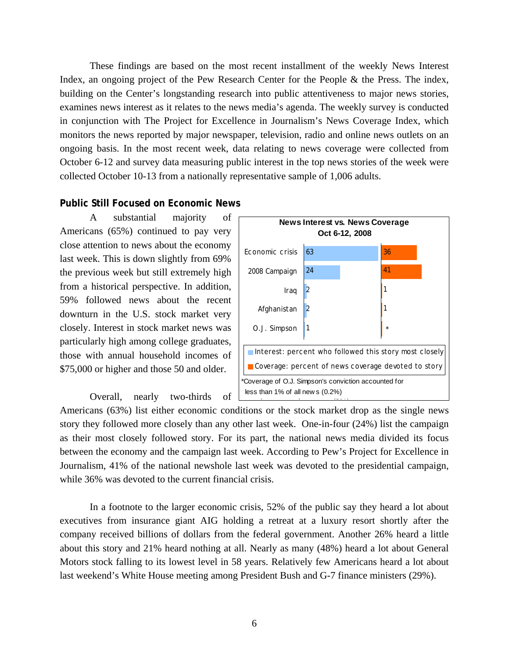These findings are based on the most recent installment of the weekly News Interest Index, an ongoing project of the Pew Research Center for the People & the Press. The index, building on the Center's longstanding research into public attentiveness to major news stories, examines news interest as it relates to the news media's agenda. The weekly survey is conducted in conjunction with The Project for Excellence in Journalism's News Coverage Index, which monitors the news reported by major newspaper, television, radio and online news outlets on an ongoing basis. In the most recent week, data relating to news coverage were collected from October 6-12 and survey data measuring public interest in the top news stories of the week were collected October 10-13 from a nationally representative sample of 1,006 adults.

## **Public Still Focused on Economic News**

 A substantial majority of Americans (65%) continued to pay very close attention to news about the economy last week. This is down slightly from 69% the previous week but still extremely high from a historical perspective. In addition, 59% followed news about the recent downturn in the U.S. stock market very closely. Interest in stock market news was particularly high among college graduates, those with annual household incomes of \$75,000 or higher and those 50 and older.

Overall, nearly two-thirds of



Americans (63%) list either economic conditions or the stock market drop as the single news story they followed more closely than any other last week. One-in-four (24%) list the campaign as their most closely followed story. For its part, the national news media divided its focus between the economy and the campaign last week. According to Pew's Project for Excellence in Journalism, 41% of the national newshole last week was devoted to the presidential campaign, while 36% was devoted to the current financial crisis.

 In a footnote to the larger economic crisis, 52% of the public say they heard a lot about executives from insurance giant AIG holding a retreat at a luxury resort shortly after the company received billions of dollars from the federal government. Another 26% heard a little about this story and 21% heard nothing at all. Nearly as many (48%) heard a lot about General Motors stock falling to its lowest level in 58 years. Relatively few Americans heard a lot about last weekend's White House meeting among President Bush and G-7 finance ministers (29%).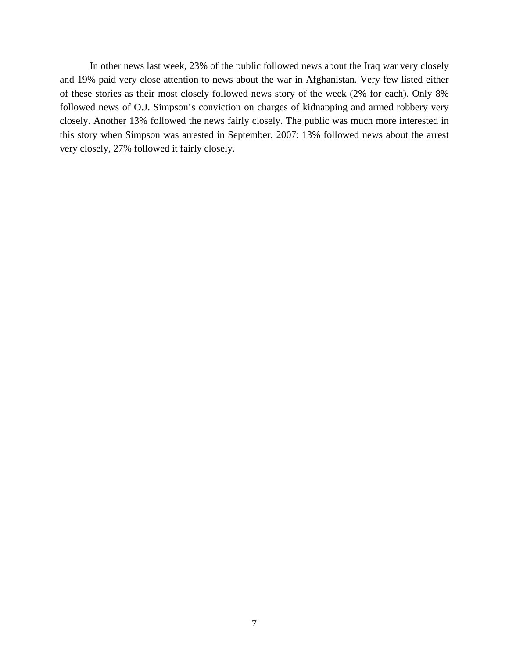In other news last week, 23% of the public followed news about the Iraq war very closely and 19% paid very close attention to news about the war in Afghanistan. Very few listed either of these stories as their most closely followed news story of the week (2% for each). Only 8% followed news of O.J. Simpson's conviction on charges of kidnapping and armed robbery very closely. Another 13% followed the news fairly closely. The public was much more interested in this story when Simpson was arrested in September, 2007: 13% followed news about the arrest very closely, 27% followed it fairly closely.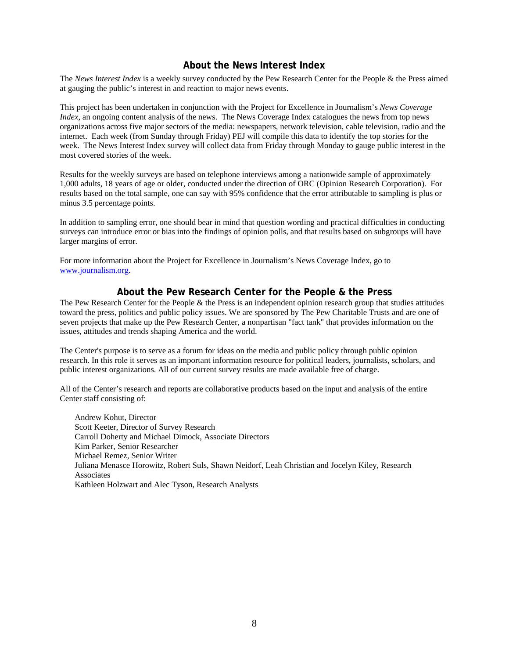## **About the News Interest Index**

The *News Interest Index* is a weekly survey conducted by the Pew Research Center for the People & the Press aimed at gauging the public's interest in and reaction to major news events.

This project has been undertaken in conjunction with the Project for Excellence in Journalism's *News Coverage Index*, an ongoing content analysis of the news. The News Coverage Index catalogues the news from top news organizations across five major sectors of the media: newspapers, network television, cable television, radio and the internet. Each week (from Sunday through Friday) PEJ will compile this data to identify the top stories for the week. The News Interest Index survey will collect data from Friday through Monday to gauge public interest in the most covered stories of the week.

Results for the weekly surveys are based on telephone interviews among a nationwide sample of approximately 1,000 adults, 18 years of age or older, conducted under the direction of ORC (Opinion Research Corporation). For results based on the total sample, one can say with 95% confidence that the error attributable to sampling is plus or minus 3.5 percentage points.

In addition to sampling error, one should bear in mind that question wording and practical difficulties in conducting surveys can introduce error or bias into the findings of opinion polls, and that results based on subgroups will have larger margins of error.

For more information about the Project for Excellence in Journalism's News Coverage Index, go to www.journalism.org.

## **About the Pew Research Center for the People & the Press**

The Pew Research Center for the People & the Press is an independent opinion research group that studies attitudes toward the press, politics and public policy issues. We are sponsored by The Pew Charitable Trusts and are one of seven projects that make up the Pew Research Center, a nonpartisan "fact tank" that provides information on the issues, attitudes and trends shaping America and the world.

The Center's purpose is to serve as a forum for ideas on the media and public policy through public opinion research. In this role it serves as an important information resource for political leaders, journalists, scholars, and public interest organizations. All of our current survey results are made available free of charge.

All of the Center's research and reports are collaborative products based on the input and analysis of the entire Center staff consisting of:

 Andrew Kohut, Director Scott Keeter, Director of Survey Research Carroll Doherty and Michael Dimock, Associate Directors Kim Parker, Senior Researcher Michael Remez, Senior Writer Juliana Menasce Horowitz, Robert Suls, Shawn Neidorf, Leah Christian and Jocelyn Kiley, Research **Associates** Kathleen Holzwart and Alec Tyson, Research Analysts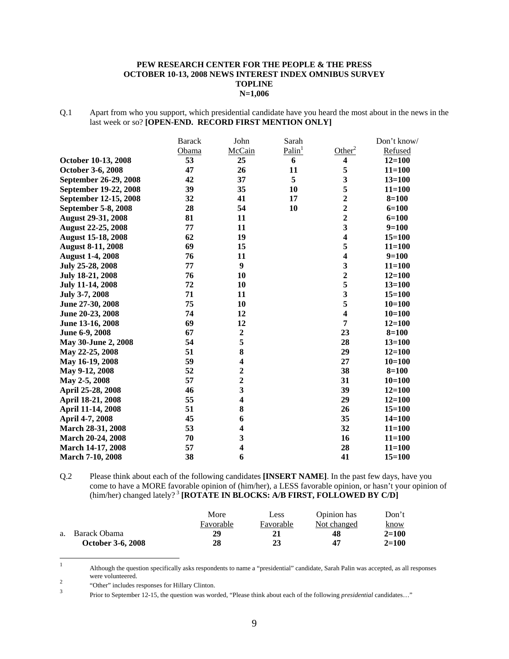#### **PEW RESEARCH CENTER FOR THE PEOPLE & THE PRESS OCTOBER 10-13, 2008 NEWS INTEREST INDEX OMNIBUS SURVEY TOPLINE N=1,006**

Q.1 Apart from who you support, which presidential candidate have you heard the most about in the news in the last week or so? **[OPEN-END. RECORD FIRST MENTION ONLY]** 

|                           | <b>Barack</b> | John                    | Sarah              |                         | Don't know/ |
|---------------------------|---------------|-------------------------|--------------------|-------------------------|-------------|
|                           | Obama         | McCain                  | Palin <sup>1</sup> | Other <sup>2</sup>      | Refused     |
| October 10-13, 2008       | 53            | 25                      | 6                  | 4                       | $12 = 100$  |
| October 3-6, 2008         | 47            | 26                      | 11                 | 5                       | $11 = 100$  |
| September 26-29, 2008     | 42            | 37                      | 5                  | 3                       | $13 = 100$  |
| September 19-22, 2008     | 39            | 35                      | 10                 | 5                       | $11 = 100$  |
| September 12-15, 2008     | 32            | 41                      | 17                 | $\overline{2}$          | $8 = 100$   |
| September 5-8, 2008       | 28            | 54                      | 10                 | $\overline{2}$          | $6 = 100$   |
| <b>August 29-31, 2008</b> | 81            | 11                      |                    | $\overline{2}$          | $6 = 100$   |
| <b>August 22-25, 2008</b> | 77            | 11                      |                    | $\overline{\mathbf{3}}$ | $9=100$     |
| <b>August 15-18, 2008</b> | 62            | 19                      |                    | $\overline{\mathbf{4}}$ | $15 = 100$  |
| <b>August 8-11, 2008</b>  | 69            | 15                      |                    | 5                       | $11 = 100$  |
| <b>August 1-4, 2008</b>   | 76            | 11                      |                    | $\overline{\mathbf{4}}$ | $9=100$     |
| July 25-28, 2008          | 77            | 9                       |                    | 3                       | $11 = 100$  |
| July 18-21, 2008          | 76            | 10                      |                    | $\overline{2}$          | $12 = 100$  |
| <b>July 11-14, 2008</b>   | 72            | 10                      |                    | 5                       | $13 = 100$  |
| July 3-7, 2008            | 71            | 11                      |                    | $\overline{\mathbf{3}}$ | $15 = 100$  |
| June 27-30, 2008          | 75            | 10                      |                    | 5                       | $10 = 100$  |
| June 20-23, 2008          | 74            | 12                      |                    | $\overline{\mathbf{4}}$ | $10 = 100$  |
| June 13-16, 2008          | 69            | 12                      |                    | 7                       | $12 = 100$  |
| June 6-9, 2008            | 67            | $\boldsymbol{2}$        |                    | 23                      | $8 = 100$   |
| May 30-June 2, 2008       | 54            | 5                       |                    | 28                      | $13 = 100$  |
| May 22-25, 2008           | 51            | 8                       |                    | 29                      | $12 = 100$  |
| May 16-19, 2008           | 59            | $\overline{\mathbf{4}}$ |                    | 27                      | $10 = 100$  |
| May 9-12, 2008            | 52            | $\overline{2}$          |                    | 38                      | $8 = 100$   |
| May 2-5, 2008             | 57            | $\overline{2}$          |                    | 31                      | $10 = 100$  |
| April 25-28, 2008         | 46            | $\overline{\mathbf{3}}$ |                    | 39                      | $12 = 100$  |
| April 18-21, 2008         | 55            | $\overline{\mathbf{4}}$ |                    | 29                      | $12 = 100$  |
| April 11-14, 2008         | 51            | 8                       |                    | 26                      | $15 = 100$  |
| April 4-7, 2008           | 45            | 6                       |                    | 35                      | $14 = 100$  |
| March 28-31, 2008         | 53            | $\overline{\mathbf{4}}$ |                    | 32                      | $11 = 100$  |
| <b>March 20-24, 2008</b>  | 70            | 3                       |                    | 16                      | $11 = 100$  |
| March 14-17, 2008         | 57            | $\overline{\mathbf{4}}$ |                    | 28                      | $11 = 100$  |
| <b>March 7-10, 2008</b>   | 38            | 6                       |                    | 41                      | $15 = 100$  |

Q.2 Please think about each of the following candidates **[INSERT NAME]**. In the past few days, have you come to have a MORE favorable opinion of (him/her), a LESS favorable opinion, or hasn't your opinion of (him/her) changed lately?<sup>3</sup> [ROTATE IN BLOCKS: A/B FIRST, FOLLOWED BY C/D]

|                          | More      | Less      | Opinion has | Don't       |
|--------------------------|-----------|-----------|-------------|-------------|
|                          | Favorable | Favorable | Not changed | <u>know</u> |
| a. Barack Obama          | 29        | 21        | 48          | $2 = 100$   |
| <b>October 3-6, 2008</b> | 28        | 23        | 47          | $2 = 100$   |

 $\frac{1}{1}$  Although the question specifically asks respondents to name a "presidential" candidate, Sarah Palin was accepted, as all responses were volunteered.

 $\frac{2}{3}$  "Other" includes responses for Hillary Clinton.

Prior to September 12-15, the question was worded, "Please think about each of the following *presidential* candidates…"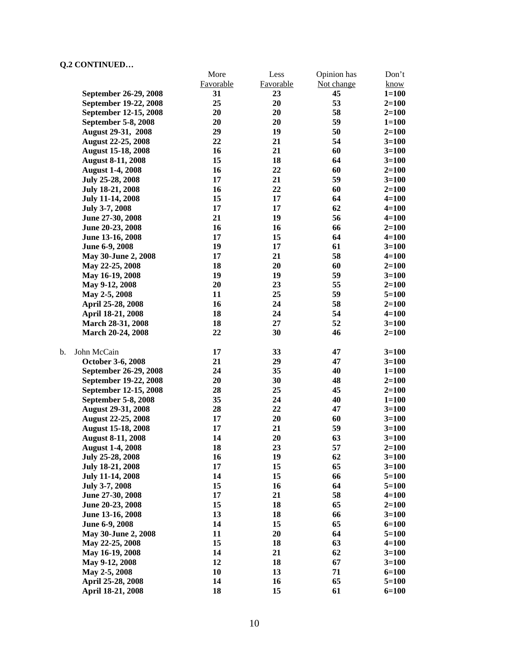|                            | More      | Less      | Opinion has | Don't     |
|----------------------------|-----------|-----------|-------------|-----------|
|                            | Favorable | Favorable | Not change  | know      |
| September 26-29, 2008      | 31        | 23        | 45          | $1 = 100$ |
| September 19-22, 2008      | 25        | 20        | 53          | $2=100$   |
| September 12-15, 2008      | 20        | 20        | 58          | $2=100$   |
| <b>September 5-8, 2008</b> | 20        | 20        | 59          | $1 = 100$ |
| August 29-31, 2008         | 29        | 19        | 50          | $2=100$   |
| <b>August 22-25, 2008</b>  | 22        | 21        | 54          | $3 = 100$ |
| <b>August 15-18, 2008</b>  | 16        | 21        | 60          | $3 = 100$ |
| <b>August 8-11, 2008</b>   | 15        | 18        | 64          | $3 = 100$ |
| <b>August 1-4, 2008</b>    | 16        | 22        | 60          | $2 = 100$ |
| July 25-28, 2008           | 17        | 21        | 59          | $3=100$   |
| July 18-21, 2008           | 16        | 22        | 60          | $2=100$   |
| <b>July 11-14, 2008</b>    | 15        | 17        | 64          | $4 = 100$ |
| July 3-7, 2008             | 17        | 17        | 62          | $4 = 100$ |
| June 27-30, 2008           | 21        | 19        | 56          | $4 = 100$ |
| June 20-23, 2008           | 16        | 16        | 66          | $2=100$   |
| June 13-16, 2008           | 17        | 15        | 64          | $4 = 100$ |
| June 6-9, 2008             | 19        | 17        | 61          | $3=100$   |
| May 30-June 2, 2008        | 17        | 21        | 58          | $4 = 100$ |
| May 22-25, 2008            | 18        | 20        | 60          | $2 = 100$ |
| May 16-19, 2008            | 19        | 19        | 59          | $3 = 100$ |
| May 9-12, 2008             | 20        | 23        | 55          | $2=100$   |
| May 2-5, 2008              | 11        | 25        | 59          | $5=100$   |
| April 25-28, 2008          | 16        | 24        | 58          | $2 = 100$ |
| April 18-21, 2008          | 18        | 24        | 54          | $4 = 100$ |
| March 28-31, 2008          | 18        | 27        | 52          | $3=100$   |
| March 20-24, 2008          | 22        | 30        | 46          | $2=100$   |
|                            |           |           |             |           |
| John McCain<br>b.          | 17        | 33        | 47          | $3=100$   |
| October 3-6, 2008          | 21        | 29        | 47          | $3 = 100$ |
| September 26-29, 2008      | 24        | 35        | 40          | $1 = 100$ |
| September 19-22, 2008      | 20        | 30        | 48          | $2 = 100$ |
| September 12-15, 2008      | 28        | 25        | 45          | $2 = 100$ |
| September 5-8, 2008        | 35        | 24        | 40          | $1 = 100$ |
| <b>August 29-31, 2008</b>  | 28        | 22        | 47          | $3=100$   |
| <b>August 22-25, 2008</b>  | 17        | 20        | 60          | $3 = 100$ |
| <b>August 15-18, 2008</b>  | 17        | 21        | 59          | $3 = 100$ |
| <b>August 8-11, 2008</b>   | 14        | 20        | 63          | $3=100$   |
| <b>August 1-4, 2008</b>    | 18        | 23        | 57          | $2 = 100$ |
| July 25-28, 2008           | 16        | 19        | 62          | $3=100$   |
| <b>July 18-21, 2008</b>    | 17        | 15        | 65          | $3=100$   |
| <b>July 11-14, 2008</b>    | 14        | 15        | 66          | $5 = 100$ |
| July 3-7, 2008             | 15        | 16        | 64          | $5 = 100$ |
| June 27-30, 2008           | 17        | 21        | 58          | $4 = 100$ |
| June 20-23, 2008           | 15        | 18        | 65          | $2 = 100$ |
| June 13-16, 2008           | 13        | 18        | 66          | $3=100$   |
| June 6-9, 2008             | 14        | 15        | 65          | $6 = 100$ |
| May 30-June 2, 2008        | 11        | 20        | 64          | $5 = 100$ |
| May 22-25, 2008            | 15        | 18        | 63          | $4 = 100$ |
| May 16-19, 2008            | 14        | 21        | 62          | $3=100$   |
| May 9-12, 2008             | 12        | 18        | 67          | $3=100$   |
| May 2-5, 2008              | 10        | 13        | 71          | $6 = 100$ |
| April 25-28, 2008          | 14        | 16        | 65          | $5 = 100$ |
| April 18-21, 2008          | 18        | 15        | 61          | $6 = 100$ |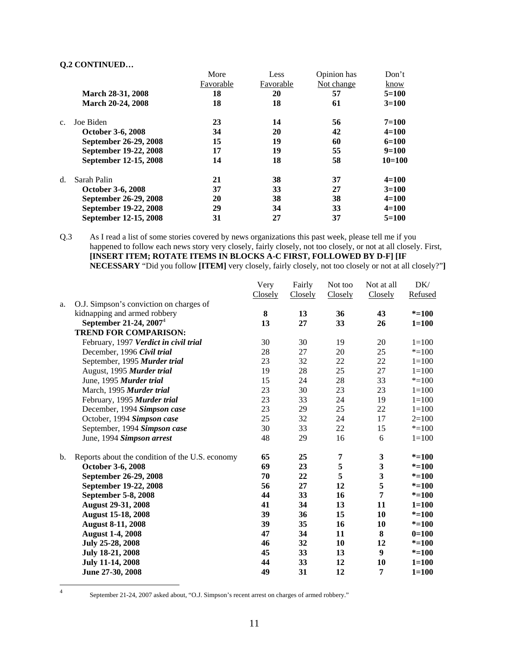|                |                          | More      | Less      | Opinion has | Don't      |
|----------------|--------------------------|-----------|-----------|-------------|------------|
|                |                          | Favorable | Favorable | Not change  | know       |
|                | March 28-31, 2008        | 18        | 20        | 57          | $5=100$    |
|                | <b>March 20-24, 2008</b> | 18        | 18        | 61          | $3=100$    |
| C <sub>1</sub> | Joe Biden                | 23        | 14        | 56          | $7 = 100$  |
|                | <b>October 3-6, 2008</b> | 34        | 20        | 42          | $4 = 100$  |
|                | September 26-29, 2008    | 15        | 19        | 60          | $6=100$    |
|                | September 19-22, 2008    | 17        | 19        | 55          | $9=100$    |
|                | September 12-15, 2008    | 14        | 18        | 58          | $10 = 100$ |
| d.             | Sarah Palin              | 21        | 38        | 37          | $4 = 100$  |
|                | <b>October 3-6, 2008</b> | 37        | 33        | 27          | $3=100$    |
|                | September 26-29, 2008    | 20        | 38        | 38          | $4 = 100$  |
|                | September 19-22, 2008    | 29        | 34        | 33          | $4 = 100$  |
|                | September 12-15, 2008    | 31        | 27        | 37          | $5=100$    |
|                |                          |           |           |             |            |

Q.3 As I read a list of some stories covered by news organizations this past week, please tell me if you happened to follow each news story very closely, fairly closely, not too closely, or not at all closely. First, **[INSERT ITEM; ROTATE ITEMS IN BLOCKS A-C FIRST, FOLLOWED BY D-F] [IF NECESSARY** "Did you follow **[ITEM]** very closely, fairly closely, not too closely or not at all closely?"**]** 

|    |                                                 | Very    | Fairly  | Not too | Not at all              | DK/       |
|----|-------------------------------------------------|---------|---------|---------|-------------------------|-----------|
|    |                                                 | Closely | Closely | Closely | Closely                 | Refused   |
| a. | O.J. Simpson's conviction on charges of         |         |         |         |                         |           |
|    | kidnapping and armed robbery                    | 8       | 13      | 36      | 43                      | $* = 100$ |
|    | September 21-24, $2007^4$                       | 13      | 27      | 33      | 26                      | $1 = 100$ |
|    | <b>TREND FOR COMPARISON:</b>                    |         |         |         |                         |           |
|    | February, 1997 Verdict in civil trial           | 30      | 30      | 19      | 20                      | $1=100$   |
|    | December, 1996 Civil trial                      | 28      | 27      | 20      | 25                      | $* = 100$ |
|    | September, 1995 Murder trial                    | 23      | 32      | 22      | 22                      | $1 = 100$ |
|    | August, 1995 Murder trial                       | 19      | $28\,$  | 25      | 27                      | $1 = 100$ |
|    | June, 1995 Murder trial                         | 15      | 24      | 28      | 33                      | $* = 100$ |
|    | March, 1995 Murder trial                        | 23      | 30      | 23      | 23                      | $1 = 100$ |
|    | February, 1995 Murder trial                     | 23      | 33      | 24      | 19                      | $1 = 100$ |
|    | December, 1994 Simpson case                     | 23      | 29      | 25      | 22                      | $1 = 100$ |
|    | October, 1994 Simpson case                      | 25      | 32      | 24      | 17                      | $2=100$   |
|    | September, 1994 Simpson case                    | 30      | 33      | 22      | 15                      | $* = 100$ |
|    | June, 1994 Simpson arrest                       | 48      | 29      | 16      | 6                       | $1 = 100$ |
| b. | Reports about the condition of the U.S. economy | 65      | 25      | 7       | $\mathbf{3}$            | $* = 100$ |
|    | October 3-6, 2008                               | 69      | 23      | 5       | $\mathbf{3}$            | $* = 100$ |
|    | September 26-29, 2008                           | 70      | 22      | 5       | $\overline{\mathbf{3}}$ | $* = 100$ |
|    | September 19-22, 2008                           | 56      | 27      | 12      | 5                       | $* = 100$ |
|    | <b>September 5-8, 2008</b>                      | 44      | 33      | 16      | $\overline{7}$          | $* = 100$ |
|    | <b>August 29-31, 2008</b>                       | 41      | 34      | 13      | 11                      | $1 = 100$ |
|    | <b>August 15-18, 2008</b>                       | 39      | 36      | 15      | 10                      | $* = 100$ |
|    | <b>August 8-11, 2008</b>                        | 39      | 35      | 16      | 10                      | $* = 100$ |
|    | <b>August 1-4, 2008</b>                         | 47      | 34      | 11      | 8                       | $0=100$   |
|    | July 25-28, 2008                                | 46      | 32      | 10      | 12                      | $* = 100$ |
|    | July 18-21, 2008                                | 45      | 33      | 13      | $\boldsymbol{9}$        | $* = 100$ |
|    | <b>July 11-14, 2008</b>                         | 44      | 33      | 12      | 10                      | $1 = 100$ |
|    | June 27-30, 2008                                | 49      | 31      | 12      | $\overline{7}$          | $1 = 100$ |

 $\frac{1}{4}$ 

September 21-24, 2007 asked about, "O.J. Simpson's recent arrest on charges of armed robbery."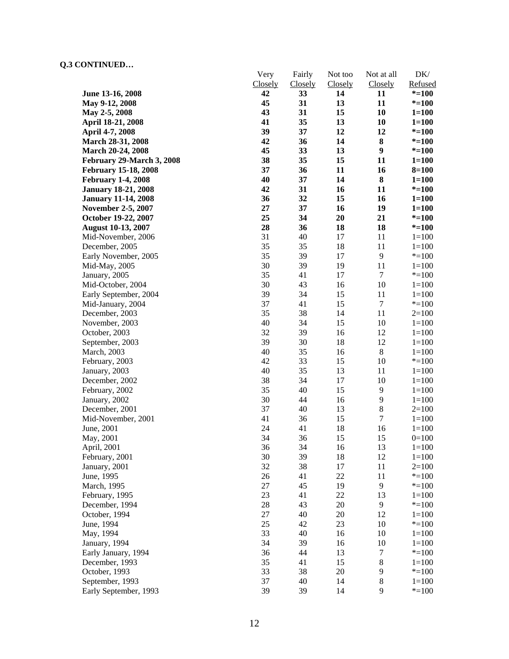|                                      | Very     | Fairly         | Not too  | Not at all       | DK/                    |
|--------------------------------------|----------|----------------|----------|------------------|------------------------|
|                                      | Closely  | <b>Closely</b> | Closely  | Closely          | Refused                |
| June 13-16, 2008                     | 42<br>45 | 33             | 14       | 11               | $* = 100$              |
| May 9-12, 2008                       | 43       | 31<br>31       | 13<br>15 | 11<br>10         | $* = 100$              |
| May 2-5, 2008<br>April 18-21, 2008   | 41       | 35             | 13       | 10               | $1 = 100$<br>$1 = 100$ |
|                                      | 39       | 37             | 12       | 12               |                        |
| April 4-7, 2008<br>March 28-31, 2008 | 42       | 36             | 14       | ${\bf 8}$        | $* = 100$<br>$* = 100$ |
| March 20-24, 2008                    | 45       | 33             | 13       | $\boldsymbol{9}$ | $* = 100$              |
| February 29-March 3, 2008            | 38       | 35             | 15       | 11               | $1 = 100$              |
| <b>February 15-18, 2008</b>          | 37       | 36             | 11       | 16               | $8 = 100$              |
| <b>February 1-4, 2008</b>            | 40       | 37             | 14       | $\bf 8$          | $1 = 100$              |
| <b>January 18-21, 2008</b>           | 42       | 31             | 16       | 11               | $* = 100$              |
| <b>January 11-14, 2008</b>           | 36       | 32             | 15       | 16               | $1 = 100$              |
| <b>November 2-5, 2007</b>            | 27       | 37             | 16       | 19               | $1 = 100$              |
| October 19-22, 2007                  | 25       | 34             | 20       | 21               | $* = 100$              |
| <b>August 10-13, 2007</b>            | 28       | 36             | 18       | 18               | $* = 100$              |
| Mid-November, 2006                   | 31       | 40             | 17       | 11               | $1 = 100$              |
| December, 2005                       | 35       | 35             | 18       | 11               | $1 = 100$              |
| Early November, 2005                 | 35       | 39             | 17       | $\overline{9}$   | $* = 100$              |
| Mid-May, 2005                        | 30       | 39             | 19       | 11               | $1 = 100$              |
| January, 2005                        | 35       | 41             | 17       | $\tau$           | $* = 100$              |
| Mid-October, 2004                    | 30       | 43             | 16       | 10               | $1 = 100$              |
| Early September, 2004                | 39       | 34             | 15       | 11               | $1 = 100$              |
| Mid-January, 2004                    | 37       | 41             | 15       | $\tau$           | $* = 100$              |
| December, 2003                       | 35       | 38             | 14       | 11               | $2=100$                |
| November, 2003                       | 40       | 34             | 15       | 10               | $1 = 100$              |
| October, 2003                        | 32       | 39             | 16       | 12               | $1 = 100$              |
| September, 2003                      | 39       | 30             | 18       | 12               | $1 = 100$              |
| March, 2003                          | 40       | 35             | 16       | $8\,$            | $1 = 100$              |
| February, 2003                       | 42       | 33             | 15       | 10               | $* = 100$              |
| January, 2003                        | 40       | 35             | 13       | 11               | $1 = 100$              |
| December, 2002                       | 38       | 34             | 17       | 10               | $1 = 100$              |
| February, 2002                       | 35       | 40             | 15       | 9                | $1 = 100$              |
| January, 2002                        | 30       | 44             | 16       | 9                | $1 = 100$              |
| December, 2001                       | 37       | 40             | 13       | $8\,$            | $2=100$                |
| Mid-November, 2001                   | 41       | 36             | 15       | $\boldsymbol{7}$ | $1 = 100$              |
| June, 2001                           | 24       | 41             | 18       | 16               | $1 = 100$              |
| May, 2001                            | 34       | 36             | 15       | 15               | $0=100$                |
| April, 2001                          | 36       | 34             | 16       | 13               | $1 = 100$              |
| February, 2001                       | 30       | 39             | 18       | 12               | $1 = 100$              |
| January, 2001                        | 32       | 38             | 17       | 11               | $2=100$                |
| June, 1995                           | 26       | 41             | 22       | 11               | $* = 100$              |
| March, 1995                          | 27       | 45             | 19       | $\overline{9}$   | $* = 100$              |
| February, 1995                       | 23       | 41             | 22       | 13               | $1 = 100$              |
| December, 1994                       | $28\,$   | 43             | 20       | 9                | $* = 100$              |
| October, 1994                        | 27       | 40             | 20       | 12               | $1 = 100$              |
| June, 1994                           | 25       | 42             | 23       | 10               | $* = 100$              |
| May, 1994                            | 33       | 40             | 16       | 10               | $1 = 100$              |
| January, 1994                        | 34       | 39             | 16       | 10               | $1 = 100$              |
| Early January, 1994                  | 36       | 44             | 13       | $\tau$           | $* = 100$              |
| December, 1993                       | 35       | 41             | 15       | $8\,$            | $1 = 100$              |
| October, 1993                        | 33       | 38             | 20       | $\overline{9}$   | $* = 100$              |
| September, 1993                      | 37       | 40             | 14       | $8\,$<br>9       | $1 = 100$              |
| Early September, 1993                | 39       | 39             | 14       |                  | $* = 100$              |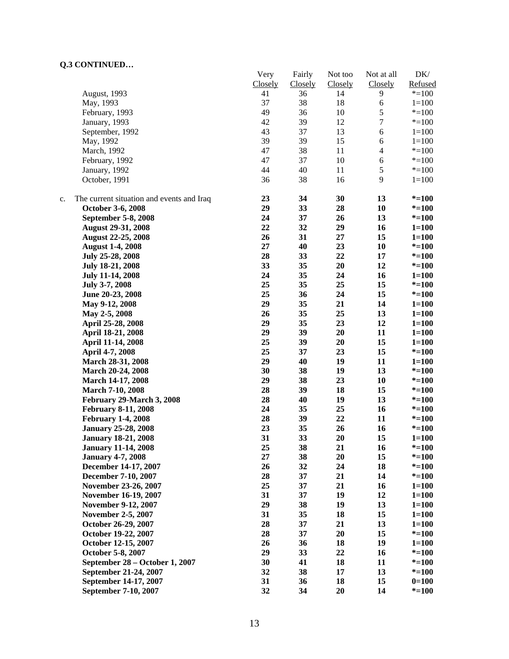|    | CONTROLLO                                 |          |         |         |                  |           |
|----|-------------------------------------------|----------|---------|---------|------------------|-----------|
|    |                                           | Very     | Fairly  | Not too | Not at all       | DK/       |
|    |                                           | Closely  | Closely | Closely | Closely          | Refused   |
|    | August, 1993                              | 41<br>37 | 36      | 14      | 9                | $* = 100$ |
|    | May, 1993                                 |          | 38      | 18      | 6                | $1 = 100$ |
|    | February, 1993                            | 49       | 36      | 10      | 5                | $* = 100$ |
|    | January, 1993                             | 42       | 39      | 12      | $\boldsymbol{7}$ | $* = 100$ |
|    | September, 1992                           | 43       | 37      | 13      | $\sqrt{6}$       | $1 = 100$ |
|    | May, 1992                                 | 39       | 39      | 15      | $\sqrt{6}$       | $1 = 100$ |
|    | March, 1992                               | 47       | 38      | 11      | $\overline{4}$   | $* = 100$ |
|    | February, 1992                            | 47       | 37      | 10      | $\sqrt{6}$       | $* = 100$ |
|    | January, 1992                             | 44       | 40      | 11      | $\mathfrak s$    | $* = 100$ |
|    | October, 1991                             | 36       | 38      | 16      | 9                | $1=100$   |
| c. | The current situation and events and Iraq | 23       | 34      | 30      | 13               | $* = 100$ |
|    | October 3-6, 2008                         | 29       | 33      | 28      | 10               | $* = 100$ |
|    | September 5-8, 2008                       | 24       | 37      | 26      | 13               | $* = 100$ |
|    | <b>August 29-31, 2008</b>                 | 22       | 32      | 29      | 16               | $1 = 100$ |
|    | <b>August 22-25, 2008</b>                 | 26       | 31      | 27      | 15               | $1 = 100$ |
|    | <b>August 1-4, 2008</b>                   | 27       | 40      | 23      | 10               | $* = 100$ |
|    | July 25-28, 2008                          | 28       | 33      | 22      | 17               | $* = 100$ |
|    | July 18-21, 2008                          | 33       | 35      | 20      | 12               | $* = 100$ |
|    | <b>July 11-14, 2008</b>                   | 24       | 35      | 24      | 16               | $1 = 100$ |
|    | July 3-7, 2008                            | 25       | 35      | 25      | 15               | $* = 100$ |
|    | June 20-23, 2008                          | 25       | 36      | 24      | 15               | $* = 100$ |
|    |                                           | 29       | 35      | 21      | 14               | $1 = 100$ |
|    | May 9-12, 2008                            | 26       | 35      | 25      | 13               | $1 = 100$ |
|    | May 2-5, 2008                             | 29       | 35      | 23      | 12               |           |
|    | April 25-28, 2008                         | 29       |         |         |                  | $1 = 100$ |
|    | April 18-21, 2008                         |          | 39      | 20      | 11               | $1 = 100$ |
|    | April 11-14, 2008                         | 25       | 39      | 20      | 15               | $1 = 100$ |
|    | April 4-7, 2008                           | 25       | 37      | 23      | 15               | $* = 100$ |
|    | March 28-31, 2008                         | 29       | 40      | 19      | 11               | $1 = 100$ |
|    | March 20-24, 2008                         | 30       | 38      | 19      | 13               | $* = 100$ |
|    | March 14-17, 2008                         | 29       | 38      | 23      | 10               | $* = 100$ |
|    | <b>March 7-10, 2008</b>                   | 28       | 39      | 18      | 15               | $* = 100$ |
|    | February 29-March 3, 2008                 | 28       | 40      | 19      | 13               | $* = 100$ |
|    | <b>February 8-11, 2008</b>                | 24       | 35      | 25      | 16               | $* = 100$ |
|    | <b>February 1-4, 2008</b>                 | 28       | 39      | 22      | 11               | $* = 100$ |
|    | <b>January 25-28, 2008</b>                | 23       | 35      | 26      | 16               | $* = 100$ |
|    | <b>January 18-21, 2008</b>                | 31       | 33      | 20      | 15               | $1 = 100$ |
|    | <b>January 11-14, 2008</b>                | 25       | 38      | 21      | 16               | $* = 100$ |
|    | <b>January 4-7, 2008</b>                  | 27       | 38      | 20      | 15               | $* = 100$ |
|    | December 14-17, 2007                      | 26       | 32      | 24      | 18               | $* = 100$ |
|    | December 7-10, 2007                       | 28       | 37      | 21      | 14               | $* = 100$ |
|    | November 23-26, 2007                      | 25       | 37      | 21      | 16               | $1 = 100$ |
|    | November 16-19, 2007                      | 31       | 37      | 19      | 12               | $1 = 100$ |
|    | November 9-12, 2007                       | 29       | 38      | 19      | 13               | $1 = 100$ |
|    | <b>November 2-5, 2007</b>                 | 31       | 35      | 18      | 15               | $1 = 100$ |
|    | October 26-29, 2007                       | 28       | 37      | 21      | 13               | $1 = 100$ |
|    | October 19-22, 2007                       | 28       | 37      | 20      | 15               | $* = 100$ |
|    | October 12-15, 2007                       | 26       | 36      | 18      | 19               | $1 = 100$ |
|    | October 5-8, 2007                         | 29       | 33      | 22      | 16               | $* = 100$ |
|    | September 28 – October 1, 2007            | 30       | 41      | 18      | 11               | $* = 100$ |
|    | September 21-24, 2007                     | 32       | 38      | 17      | 13               | $* = 100$ |
|    | September 14-17, 2007                     | 31       | 36      | 18      | 15               | $0=100$   |
|    | September 7-10, 2007                      | 32       | 34      | 20      | 14               | $* = 100$ |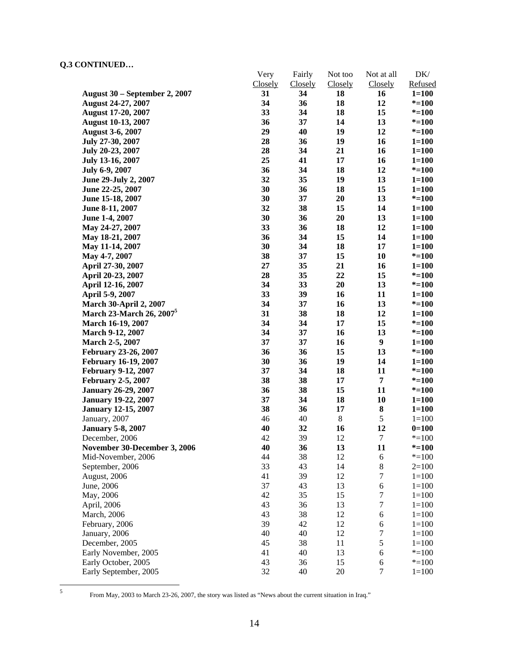|                                | Very     | Fairly         | Not too | Not at all       | DK/       |
|--------------------------------|----------|----------------|---------|------------------|-----------|
|                                | Closely  | <b>Closely</b> | Closely | Closely          | Refused   |
| August 30 – September 2, 2007  | 31       | 34             | 18      | 16               | $1 = 100$ |
| <b>August 24-27, 2007</b>      | 34       | 36             | 18      | 12               | $* = 100$ |
| <b>August 17-20, 2007</b>      | 33       | 34             | 18      | 15               | $* = 100$ |
| <b>August 10-13, 2007</b>      | 36       | 37             | 14      | 13               | $* = 100$ |
| <b>August 3-6, 2007</b>        | 29       | 40             | 19      | 12               | $* = 100$ |
| July 27-30, 2007               | 28       | 36             | 19      | 16               | $1 = 100$ |
| July 20-23, 2007               | 28       | 34             | 21      | 16               | $1 = 100$ |
| July 13-16, 2007               | 25       | 41             | 17      | 16               | $1 = 100$ |
| July 6-9, 2007                 | 36       | 34             | 18      | 12               | $* = 100$ |
| June 29-July 2, 2007           | 32       | 35             | 19      | 13               | $1 = 100$ |
| June 22-25, 2007               | 30       | 36             | 18      | 15               | $1 = 100$ |
| June 15-18, 2007               | 30       | 37             | 20      | 13               | $* = 100$ |
| June 8-11, 2007                | 32       | 38             | 15      | 14               | $1 = 100$ |
| June 1-4, 2007                 | 30       | 36             | 20      | 13               | $1 = 100$ |
| May 24-27, 2007                | 33       | 36             | 18      | 12               | $1 = 100$ |
| May 18-21, 2007                | 36       | 34             | 15      | 14               | $1 = 100$ |
| May 11-14, 2007                | 30       | 34             | 18      | 17               | $1 = 100$ |
| May 4-7, 2007                  | 38       | 37             | 15      | 10               | $* = 100$ |
| April 27-30, 2007              | 27       | 35             | 21      | 16               | $1 = 100$ |
| April 20-23, 2007              | 28       | 35             | 22      | 15               | $* = 100$ |
| April 12-16, 2007              | 34       | 33             | 20      | 13               | $* = 100$ |
| April 5-9, 2007                | 33       | 39             | 16      | 11               | $1 = 100$ |
| <b>March 30-April 2, 2007</b>  | 34       | 37             | 16      | 13               | $* = 100$ |
| <b>March 23-March 26, 2007</b> | 31       | 38             | 18      | 12               | $1 = 100$ |
| March 16-19, 2007              | 34       | 34             | 17      | 15               | $* = 100$ |
| <b>March 9-12, 2007</b>        | 34       | 37             | 16      | 13               | $* = 100$ |
| March 2-5, 2007                | 37       | 37             | 16      | $\boldsymbol{9}$ | $1 = 100$ |
| <b>February 23-26, 2007</b>    | 36       | 36             | 15      | 13               | $* = 100$ |
| February 16-19, 2007           | 30       | 36             | 19      | 14               | $1 = 100$ |
| <b>February 9-12, 2007</b>     | 37       | 34             | 18      | 11               | $* = 100$ |
| <b>February 2-5, 2007</b>      | 38       | 38             | 17      | 7                | $* = 100$ |
| <b>January 26-29, 2007</b>     | 36       | 38             | 15      | 11               | $* = 100$ |
| <b>January 19-22, 2007</b>     | 37       | 34             | 18      | 10               | $1 = 100$ |
| <b>January 12-15, 2007</b>     | 38       | 36             | 17      | 8                | $1 = 100$ |
| January, 2007                  | 46       | 40             | $8\,$   | $\mathfrak s$    | $1 = 100$ |
| <b>January 5-8, 2007</b>       | 40       | 32             | 16      | 12               | $0=100$   |
| December, 2006                 | 42       | 39             | 12      | $\tau$           | $* = 100$ |
| November 30-December 3, 2006   | 40       | 36             | 13      | 11               | $* = 100$ |
| Mid-November, 2006             | 44       | 38             | 12      | 6                | $* = 100$ |
| September, 2006                | 33       | 43             | 14      | $\,8$            | $2=100$   |
| August, 2006                   | 41       | 39             | 12      | $\tau$           | $1 = 100$ |
| June, 2006                     | 37       | 43             | 13      | 6                | $1 = 100$ |
|                                | 42       | 35             | 15      | 7                | $1 = 100$ |
| May, 2006                      | 43       | 36             | 13      | 7                |           |
| April, 2006                    |          |                |         |                  | $1 = 100$ |
| March, 2006                    | 43<br>39 | 38<br>42       | 12      | 6                | $1 = 100$ |
| February, 2006                 |          |                | 12      | 6                | $1 = 100$ |
| January, 2006                  | 40       | 40             | 12      | $\boldsymbol{7}$ | $1 = 100$ |
| December, 2005                 | 45       | 38             | 11      | 5                | $1 = 100$ |
| Early November, 2005           | 41       | 40             | 13      | 6                | $* = 100$ |
| Early October, 2005            | 43       | 36             | 15      | 6                | $* = 100$ |
| Early September, 2005          | 32       | 40             | 20      | $\boldsymbol{7}$ | $1 = 100$ |

5

From May, 2003 to March 23-26, 2007, the story was listed as "News about the current situation in Iraq."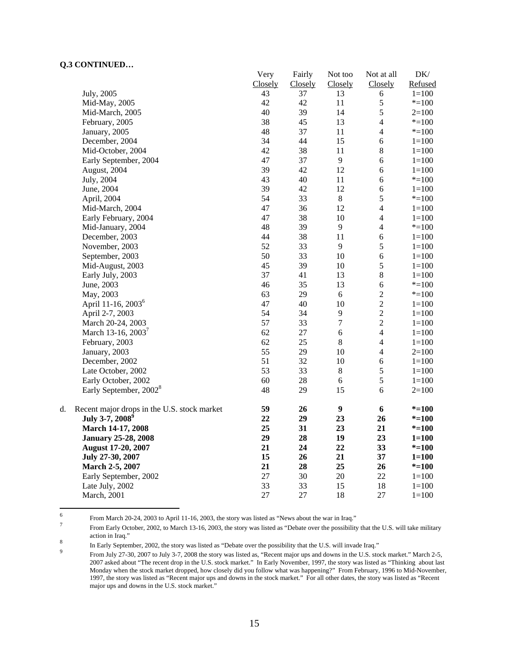|    |                                             | Very    | Fairly  | Not too          | Not at all     | DK/       |
|----|---------------------------------------------|---------|---------|------------------|----------------|-----------|
|    |                                             | Closely | Closely | Closely          | Closely        | Refused   |
|    | July, 2005                                  | 43      | 37      | 13               | 6              | $1 = 100$ |
|    | Mid-May, 2005                               | 42      | 42      | 11               | 5              | $* = 100$ |
|    | Mid-March, 2005                             | 40      | 39      | 14               | 5              | $2=100$   |
|    | February, 2005                              | 38      | 45      | 13               | $\overline{4}$ | $* = 100$ |
|    | January, 2005                               | 48      | 37      | 11               | 4              | $* = 100$ |
|    | December, 2004                              | 34      | 44      | 15               | 6              | $1 = 100$ |
|    | Mid-October, 2004                           | 42      | 38      | 11               | $\bf 8$        | $1 = 100$ |
|    | Early September, 2004                       | 47      | 37      | 9                | $\sqrt{6}$     | $1 = 100$ |
|    | August, 2004                                | 39      | 42      | 12               | 6              | $1 = 100$ |
|    | July, 2004                                  | 43      | 40      | 11               | 6              | $* = 100$ |
|    | June, 2004                                  | 39      | 42      | 12               | 6              | $1 = 100$ |
|    | April, 2004                                 | 54      | 33      | $\,8\,$          | 5              | $* = 100$ |
|    | Mid-March, 2004                             | 47      | 36      | 12               | $\overline{4}$ | $1 = 100$ |
|    | Early February, 2004                        | 47      | 38      | 10               | $\overline{4}$ | $1 = 100$ |
|    | Mid-January, 2004                           | 48      | 39      | 9                | $\overline{4}$ | $* = 100$ |
|    | December, 2003                              | 44      | 38      | 11               | 6              | $1 = 100$ |
|    | November, 2003                              | 52      | 33      | 9                | 5              | $1 = 100$ |
|    | September, 2003                             | 50      | 33      | 10               | 6              | $1 = 100$ |
|    | Mid-August, 2003                            | 45      | 39      | 10               | 5              | $1 = 100$ |
|    | Early July, 2003                            | 37      | 41      | 13               | $\bf 8$        | $1 = 100$ |
|    | June, 2003                                  | 46      | 35      | 13               | 6              | $*=100$   |
|    | May, 2003                                   | 63      | 29      | $6\,$            | $\sqrt{2}$     | $* = 100$ |
|    | April 11-16, 2003 <sup>6</sup>              | 47      | 40      | 10               | $\overline{2}$ | $1 = 100$ |
|    | April 2-7, 2003                             | 54      | 34      | 9                | $\overline{2}$ | $1 = 100$ |
|    | March 20-24, 2003                           | 57      | 33      | $\boldsymbol{7}$ | $\overline{2}$ | $1 = 100$ |
|    | March 13-16, 2003 <sup>7</sup>              | 62      | $27\,$  | $\sqrt{6}$       | $\overline{4}$ | $1 = 100$ |
|    | February, 2003                              | 62      | 25      | $\,8\,$          | $\overline{4}$ | $1 = 100$ |
|    | January, 2003                               | 55      | 29      | 10               | $\overline{4}$ | $2=100$   |
|    | December, 2002                              | 51      | 32      | 10               | $\sqrt{6}$     | $1 = 100$ |
|    | Late October, 2002                          | 53      | 33      | $\,8\,$          | 5              | $1 = 100$ |
|    | Early October, 2002                         | 60      | $28\,$  | $\sqrt{6}$       | 5              | $1 = 100$ |
|    | Early September, 2002 <sup>8</sup>          | 48      | 29      | 15               | 6              | $2=100$   |
| d. | Recent major drops in the U.S. stock market | 59      | 26      | $\boldsymbol{9}$ | 6              | $* = 100$ |
|    | July 3-7, 2008 <sup>9</sup>                 | 22      | 29      | 23               | 26             | $* = 100$ |
|    | March 14-17, 2008                           | 25      | 31      | 23               | 21             | $* = 100$ |
|    | <b>January 25-28, 2008</b>                  | 29      | 28      | 19               | 23             | $1 = 100$ |
|    | August 17-20, 2007                          | 21      | 24      | 22               | 33             | $* = 100$ |
|    | July 27-30, 2007                            | 15      | 26      | 21               | 37             | $1 = 100$ |
|    | March 2-5, 2007                             | 21      | 28      | 25               | 26             | $* = 100$ |
|    | Early September, 2002                       | 27      | 30      | 20               | 22             | $1 = 100$ |
|    | Late July, 2002                             | 33      | 33      | 15               | 18             | $1 = 100$ |
|    | March, 2001                                 | 27      | 27      | 18               | 27             | $1 = 100$ |

 $\frac{1}{6}$ From March 20-24, 2003 to April 11-16, 2003, the story was listed as "News about the war in Iraq."  $\frac{7}{4}$ 

In Early September, 2002, the story was listed as "Debate over the possibility that the U.S. will invade Iraq."

From Early October, 2002, to March 13-16, 2003, the story was listed as "Debate over the possibility that the U.S. will take military action in Iraq." 8

From July 27-30, 2007 to July 3-7, 2008 the story was listed as, "Recent major ups and downs in the U.S. stock market." March 2-5, 2007 asked about "The recent drop in the U.S. stock market." In Early November, 1997, the story was listed as "Thinking about last Monday when the stock market dropped, how closely did you follow what was happening?" From February, 1996 to Mid-November, 1997, the story was listed as "Recent major ups and downs in the stock market." For all other dates, the story was listed as "Recent major ups and downs in the U.S. stock market."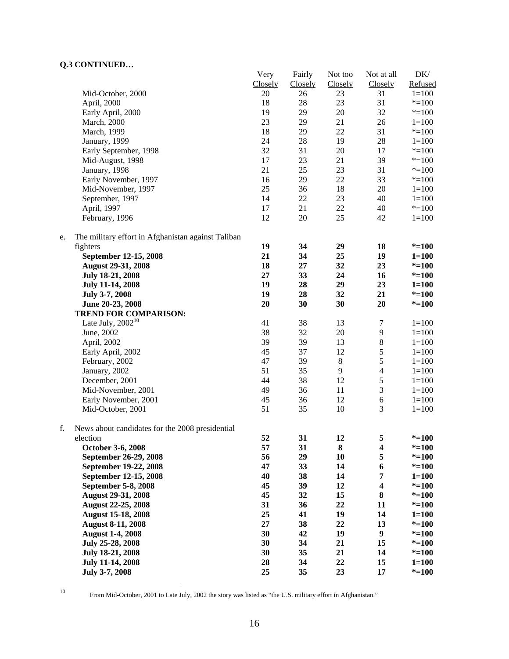|    |                                                    | Very     | Fairly  | Not too | Not at all              | DK/       |
|----|----------------------------------------------------|----------|---------|---------|-------------------------|-----------|
|    |                                                    | Closely  | Closely | Closely | Closely                 | Refused   |
|    | Mid-October, 2000                                  | 20       | 26      | 23      | 31                      | $1 = 100$ |
|    | April, 2000                                        | 18       | 28      | 23      | 31                      | $* = 100$ |
|    | Early April, 2000                                  | 19       | 29      | 20      | 32                      | $* = 100$ |
|    | March, 2000                                        | 23       | 29      | 21      | 26                      | $1 = 100$ |
|    | March, 1999                                        | 18       | 29      | 22      | 31                      | $* = 100$ |
|    | January, 1999                                      | 24       | $28\,$  | 19      | 28                      | $1 = 100$ |
|    | Early September, 1998                              | 32       | 31      | 20      | 17                      | $* = 100$ |
|    | Mid-August, 1998                                   | 17       | 23      | 21      | 39                      | $* = 100$ |
|    | January, 1998                                      | 21       | 25      | 23      | 31                      | $* = 100$ |
|    | Early November, 1997                               | 16       | 29      | 22      | 33                      | $* = 100$ |
|    | Mid-November, 1997                                 | 25       | 36      | 18      | 20                      |           |
|    |                                                    |          |         |         |                         | $1 = 100$ |
|    | September, 1997                                    | 14       | $22\,$  | 23      | 40                      | $1 = 100$ |
|    | April, 1997                                        | 17       | 21      | 22      | 40                      | $* = 100$ |
|    | February, 1996                                     | 12       | $20\,$  | 25      | 42                      | $1 = 100$ |
| e. | The military effort in Afghanistan against Taliban |          |         |         |                         |           |
|    | fighters                                           | 19       | 34      | 29      | 18                      | $* = 100$ |
|    | September 12-15, 2008                              | 21       | 34      | 25      | 19                      | $1 = 100$ |
|    | <b>August 29-31, 2008</b>                          | 18       | 27      | 32      | 23                      | $* = 100$ |
|    | July 18-21, 2008                                   | 27       | 33      | 24      | 16                      | $* = 100$ |
|    | <b>July 11-14, 2008</b>                            | 19       | 28      | 29      | 23                      | $1 = 100$ |
|    | July 3-7, 2008                                     | 19       | 28      | 32      | 21                      | $* = 100$ |
|    | June 20-23, 2008                                   | 20       | 30      | 30      | 20                      | $* = 100$ |
|    | TREND FOR COMPARISON:                              |          |         |         |                         |           |
|    | Late July, $2002^{10}$                             | 41       | 38      | 13      | 7                       | $1 = 100$ |
|    | June, 2002                                         | 38       | 32      | 20      | $\overline{9}$          | $1 = 100$ |
|    | April, 2002                                        | 39       | 39      | 13      | $\,$ 8 $\,$             | $1 = 100$ |
|    | Early April, 2002                                  | 45       | 37      | 12      | 5                       | $1 = 100$ |
|    | February, 2002                                     | 47       | 39      | $\,8\,$ | 5                       | $1 = 100$ |
|    | January, 2002                                      | 51       | 35      | 9       | $\overline{4}$          | $1 = 100$ |
|    | December, 2001                                     | 44       | 38      | 12      | 5                       | $1 = 100$ |
|    | Mid-November, 2001                                 | 49       | 36      | 11      | $\mathfrak 3$           | $1 = 100$ |
|    |                                                    |          |         | 12      |                         |           |
|    | Early November, 2001                               | 45<br>51 | 36      |         | $\sqrt{6}$              | $1 = 100$ |
|    | Mid-October, 2001                                  |          | 35      | 10      | 3                       | $1 = 100$ |
| f. | News about candidates for the 2008 presidential    |          |         |         |                         |           |
|    | election                                           | 52       | 31      | 12      | 5                       | $* = 100$ |
|    | October 3-6, 2008                                  | 57       | 31      | 8       | 4                       | $* = 100$ |
|    | September 26-29, 2008                              | 56       | 29      | 10      | 5                       | $* = 100$ |
|    | September 19-22, 2008                              | 47       | 33      | 14      | $\boldsymbol{6}$        | $* = 100$ |
|    | September 12-15, 2008                              | 40       | 38      | 14      | 7                       | $1 = 100$ |
|    | September 5-8, 2008                                | 45       | 39      | 12      | $\overline{\mathbf{4}}$ | $* = 100$ |
|    | <b>August 29-31, 2008</b>                          | 45       | 32      | 15      | $\bf 8$                 | $* = 100$ |
|    | <b>August 22-25, 2008</b>                          | 31       | 36      | 22      | 11                      | $* = 100$ |
|    | <b>August 15-18, 2008</b>                          | 25       | 41      | 19      | 14                      | $1 = 100$ |
|    | <b>August 8-11, 2008</b>                           | 27       | 38      | 22      | 13                      | $* = 100$ |
|    | <b>August 1-4, 2008</b>                            | 30       | 42      | 19      | $\boldsymbol{9}$        | $* = 100$ |
|    | July 25-28, 2008                                   | 30       | 34      | 21      | 15                      | $* = 100$ |
|    | July 18-21, 2008                                   | 30       | 35      | 21      | 14                      | $* = 100$ |
|    | <b>July 11-14, 2008</b>                            | 28       | 34      | 22      | 15                      | $1 = 100$ |
|    | July 3-7, 2008                                     | 25       | 35      | 23      | 17                      | $* = 100$ |
|    |                                                    |          |         |         |                         |           |

 $10\,$ 

<sup>10</sup> From Mid-October, 2001 to Late July, 2002 the story was listed as "the U.S. military effort in Afghanistan."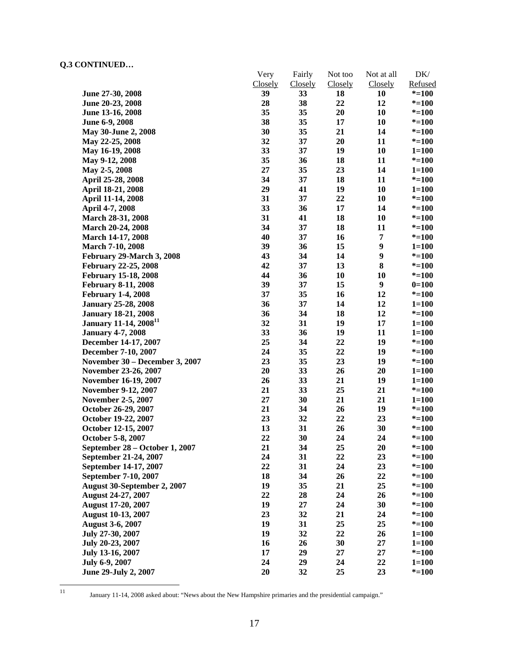|                                   | Very          | Fairly   | Not too       | Not at all       | DK/                  |
|-----------------------------------|---------------|----------|---------------|------------------|----------------------|
|                                   | Closely<br>39 | Closely  | Closely<br>18 | Closely<br>10    | Refused<br>$* = 100$ |
| June 27-30, 2008                  | 28            | 33<br>38 | 22            | 12               |                      |
| June 20-23, 2008                  | 35            | 35       |               |                  | $* = 100$            |
| June 13-16, 2008                  |               |          | 20            | 10               | $* = 100$            |
| June 6-9, 2008                    | 38            | 35       | 17            | 10               | $* = 100$            |
| May 30-June 2, 2008               | 30            | 35       | 21            | 14               | $* = 100$            |
| May 22-25, 2008                   | 32            | 37       | 20            | 11               | $* = 100$            |
| May 16-19, 2008                   | 33            | 37       | 19            | 10               | $1 = 100$            |
| May 9-12, 2008                    | 35            | 36       | 18            | 11               | $* = 100$            |
| May 2-5, 2008                     | 27            | 35       | 23            | 14               | $1 = 100$            |
| April 25-28, 2008                 | 34            | 37       | 18            | 11               | $* = 100$            |
| April 18-21, 2008                 | 29            | 41       | 19            | 10               | $1 = 100$            |
| April 11-14, 2008                 | 31            | 37       | 22            | 10               | $* = 100$            |
| April 4-7, 2008                   | 33            | 36       | 17            | 14               | $* = 100$            |
| March 28-31, 2008                 | 31            | 41       | 18            | 10               | $* = 100$            |
| <b>March 20-24, 2008</b>          | 34            | 37       | 18            | 11               | $* = 100$            |
| <b>March 14-17, 2008</b>          | 40            | 37       | 16            | 7                | $* = 100$            |
| <b>March 7-10, 2008</b>           | 39            | 36       | 15            | $\boldsymbol{9}$ | $1 = 100$            |
| February 29-March 3, 2008         | 43            | 34       | 14            | 9                | $* = 100$            |
| <b>February 22-25, 2008</b>       | 42            | 37       | 13            | 8                | $* = 100$            |
| <b>February 15-18, 2008</b>       | 44            | 36       | 10            | 10               | $* = 100$            |
| <b>February 8-11, 2008</b>        | 39            | 37       | 15            | $\boldsymbol{9}$ | $0=100$              |
| <b>February 1-4, 2008</b>         | 37            | 35       | 16            | 12               | $* = 100$            |
| <b>January 25-28, 2008</b>        | 36            | 37       | 14            | 12               | $1 = 100$            |
| <b>January 18-21, 2008</b>        | 36            | 34       | 18            | 12               | $* = 100$            |
| January 11-14, 2008 <sup>11</sup> | 32            | 31       | 19            | 17               | $1 = 100$            |
| <b>January 4-7, 2008</b>          | 33            | 36       | 19            | 11               | $1 = 100$            |
| December 14-17, 2007              | 25            | 34       | 22            | 19               | $* = 100$            |
| December 7-10, 2007               | 24            | 35       | 22            | 19               | $* = 100$            |
| November 30 – December 3, 2007    | 23            | 35       | 23            | 19               | $* = 100$            |
| November 23-26, 2007              | 20            | 33       | 26            | 20               | $1 = 100$            |
| November 16-19, 2007              | 26            | 33       | 21            | 19               | $1 = 100$            |
| November 9-12, 2007               | 21            | 33       | 25            | 21               | $* = 100$            |
| <b>November 2-5, 2007</b>         | 27            | 30       | 21            | 21               | $1 = 100$            |
| October 26-29, 2007               | 21            | 34       | 26            | 19               | $* = 100$            |
| October 19-22, 2007               | 23            | 32       | 22            | 23               | $* = 100$            |
| October 12-15, 2007               | 13            | 31       | 26            | 30               | $* = 100$            |
| October 5-8, 2007                 | 22            | 30       | 24            | 24               | $* = 100$            |
| September 28 - October 1, 2007    | 21            | 34       | 25            | 20               | $* = 100$            |
| September 21-24, 2007             | 24            | 31       | 22            | 23               | $* = 100$            |
| September 14-17, 2007             | 22            | 31       | 24            | 23               | $* = 100$            |
| September 7-10, 2007              | 18            | 34       | 26            | 22               | $* = 100$            |
| August 30-September 2, 2007       | 19            | 35       | 21            | 25               | $* = 100$            |
| <b>August 24-27, 2007</b>         | 22            | 28       | 24            | 26               | $* = 100$            |
| <b>August 17-20, 2007</b>         | 19            | 27       | 24            | 30               | $* = 100$            |
| <b>August 10-13, 2007</b>         | 23            | 32       | 21            | 24               | $* = 100$            |
| <b>August 3-6, 2007</b>           | 19            | 31       | 25            | 25               | $* = 100$            |
| July 27-30, 2007                  | 19            | 32       | 22            | 26               | $1 = 100$            |
| July 20-23, 2007                  | 16            | 26       | 30            | 27               | $1 = 100$            |
| July 13-16, 2007                  | 17            | 29       | 27            | 27               | $* = 100$            |
| July 6-9, 2007                    | 24            | 29       | 24            | 22               | $1 = 100$            |
| June 29-July 2, 2007              | 20            | 32       | 25            | 23               | $* = 100$            |

 $\frac{1}{11}$ 

11 January 11-14, 2008 asked about: "News about the New Hampshire primaries and the presidential campaign."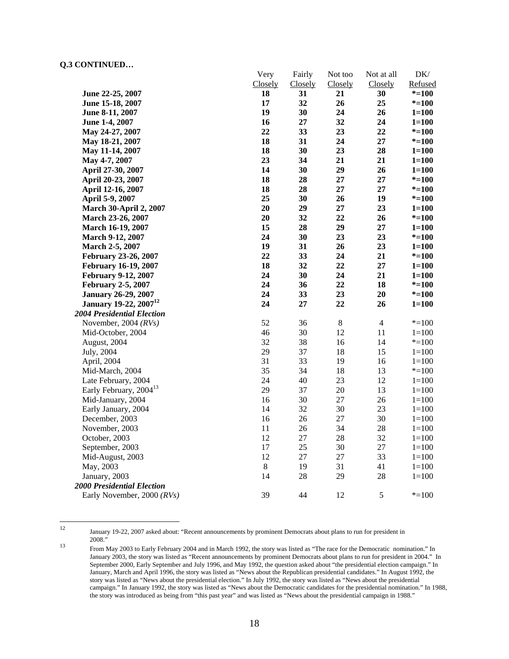|                                          | Very    | Fairly   | Not too | Not at all     | DK/       |
|------------------------------------------|---------|----------|---------|----------------|-----------|
|                                          | Closely | Closely  | Closely | Closely        | Refused   |
| June 22-25, 2007                         | 18      | 31       | 21      | 30             | $* = 100$ |
| June 15-18, 2007                         | 17      | 32       | 26      | 25             | $* = 100$ |
| June 8-11, 2007                          | 19      | 30       | 24      | 26             | $1 = 100$ |
| June 1-4, 2007                           | 16      | $\bf 27$ | 32      | 24             | $1 = 100$ |
| May 24-27, 2007                          | 22      | 33       | 23      | 22             | $* = 100$ |
| May 18-21, 2007                          | 18      | 31       | 24      | 27             | $* = 100$ |
| May 11-14, 2007                          | 18      | 30       | 23      | 28             | $1 = 100$ |
| May 4-7, 2007                            | 23      | 34       | 21      | 21             | $1 = 100$ |
| April 27-30, 2007                        | 14      | 30       | 29      | 26             | $1 = 100$ |
| April 20-23, 2007                        | 18      | 28       | 27      | 27             | $*$ =100  |
| April 12-16, 2007                        | 18      | 28       | 27      | 27             | $* = 100$ |
| April 5-9, 2007                          | 25      | 30       | 26      | 19             | $* = 100$ |
| <b>March 30-April 2, 2007</b>            | 20      | 29       | 27      | 23             | $1 = 100$ |
| March 23-26, 2007                        | 20      | 32       | 22      | 26             | $* = 100$ |
| March 16-19, 2007                        | 15      | 28       | 29      | 27             | $1 = 100$ |
| <b>March 9-12, 2007</b>                  | 24      | 30       | 23      | 23             | $* = 100$ |
| March 2-5, 2007                          | 19      | 31       | 26      | 23             | $1 = 100$ |
| February 23-26, 2007                     | 22      | 33       | 24      | 21             | $* = 100$ |
| <b>February 16-19, 2007</b>              | 18      | 32       | 22      | 27             | $1 = 100$ |
| <b>February 9-12, 2007</b>               | 24      | 30       | 24      | 21             | $1 = 100$ |
| <b>February 2-5, 2007</b>                | 24      | 36       | 22      | 18             | $* = 100$ |
| <b>January 26-29, 2007</b>               | 24      | 33       | 23      | 20             | $* = 100$ |
| <b>January 19-22, 2007</b> <sup>12</sup> | 24      | 27       | 22      | 26             | $1 = 100$ |
| <b>2004 Presidential Election</b>        |         |          |         |                |           |
| November, 2004 $(RVs)$                   | 52      | 36       | $\,8\,$ | $\overline{4}$ | $* = 100$ |
| Mid-October, 2004                        | 46      | 30       | 12      | 11             | $1 = 100$ |
| August, 2004                             | 32      | 38       | 16      | 14             | $* = 100$ |
| July, 2004                               | 29      | 37       | 18      | 15             | $1 = 100$ |
| April, 2004                              | 31      | 33       | 19      | 16             | $1 = 100$ |
| Mid-March, 2004                          | 35      | 34       | 18      | 13             | $* = 100$ |
| Late February, 2004                      | 24      | 40       | 23      | 12             | $1 = 100$ |
| Early February, 2004 <sup>13</sup>       | 29      | 37       | 20      | 13             | $1 = 100$ |
| Mid-January, 2004                        | 16      | 30       | 27      | 26             | $1 = 100$ |
| Early January, 2004                      | 14      | 32       | 30      | 23             | $1 = 100$ |
| December, 2003                           | 16      | 26       | 27      | 30             | $1 = 100$ |
| November, 2003                           | 11      | 26       | 34      | 28             | $1 = 100$ |
| October, 2003                            | 12      | $27\,$   | $28\,$  | 32             | $1 = 100$ |
| September, 2003                          | 17      | 25       | 30      | $27\,$         | $1 = 100$ |
| Mid-August, 2003                         | 12      | $27\,$   | 27      | 33             | $1=100$   |
| May, 2003                                | $\,8\,$ | 19       | 31      | 41             | $1 = 100$ |
| January, 2003                            | 14      | 28       | 29      | 28             | $1 = 100$ |
| <b>2000 Presidential Election</b>        |         |          |         |                |           |
| Early November, 2000 (RVs)               | 39      | 44       | 12      | $\sqrt{5}$     | $* = 100$ |

12

January 19-22, 2007 asked about: "Recent announcements by prominent Democrats about plans to run for president in 2008."

<sup>&</sup>lt;sup>13</sup> From May 2003 to Early February 2004 and in March 1992, the story was listed as "The race for the Democratic nomination." In January 2003, the story was listed as "Recent announcements by prominent Democrats about plans to run for president in 2004." In September 2000, Early September and July 1996, and May 1992, the question asked about "the presidential election campaign." In January, March and April 1996, the story was listed as "News about the Republican presidential candidates." In August 1992, the story was listed as "News about the presidential election." In July 1992, the story was listed as "News about the presidential campaign." In January 1992, the story was listed as "News about the Democratic candidates for the presidential nomination." In 1988, the story was introduced as being from "this past year" and was listed as "News about the presidential campaign in 1988."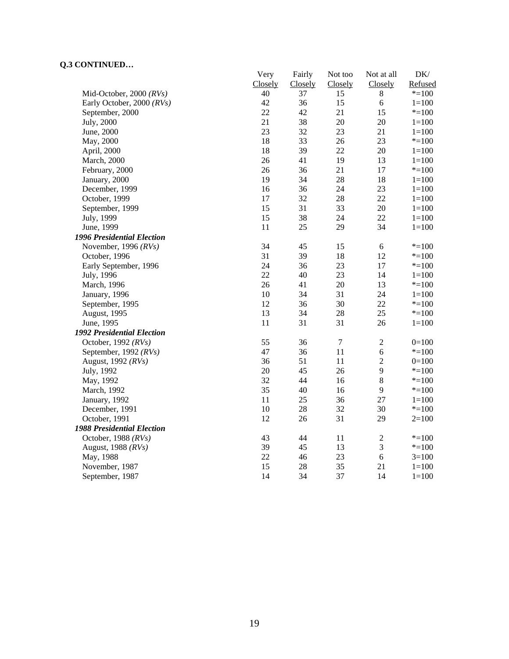|                                   | Very    | Fairly         | Not too          | Not at all       | DK/       |
|-----------------------------------|---------|----------------|------------------|------------------|-----------|
|                                   | Closely | <b>Closely</b> | Closely          | Closely          | Refused   |
| Mid-October, 2000 $(RVs)$         | 40      | 37             | 15               | $\,8\,$          | $* = 100$ |
| Early October, 2000 (RVs)         | 42      | 36             | 15               | 6                | $1 = 100$ |
| September, 2000                   | 22      | 42             | 21               | 15               | $*=100$   |
| July, 2000                        | 21      | 38             | 20               | 20               | $1 = 100$ |
| June, 2000                        | 23      | 32             | 23               | 21               | $1 = 100$ |
| May, 2000                         | 18      | 33             | 26               | 23               | $*=100$   |
| April, 2000                       | 18      | 39             | 22               | 20               | $1 = 100$ |
| March, 2000                       | 26      | 41             | 19               | 13               | $1 = 100$ |
| February, 2000                    | 26      | 36             | 21               | 17               | $* = 100$ |
| January, 2000                     | 19      | 34             | 28               | 18               | $1 = 100$ |
| December, 1999                    | 16      | 36             | 24               | 23               | $1 = 100$ |
| October, 1999                     | 17      | 32             | 28               | 22               | $1 = 100$ |
| September, 1999                   | 15      | 31             | 33               | 20               | $1 = 100$ |
| July, 1999                        | 15      | 38             | 24               | 22               | $1 = 100$ |
| June, 1999                        | 11      | 25             | 29               | 34               | $1 = 100$ |
| <b>1996 Presidential Election</b> |         |                |                  |                  |           |
| November, 1996 $(RVs)$            | 34      | 45             | 15               | 6                | $* = 100$ |
| October, 1996                     | 31      | 39             | 18               | 12               | $*=100$   |
| Early September, 1996             | 24      | 36             | 23               | 17               | $* = 100$ |
| July, 1996                        | 22      | 40             | 23               | 14               | $1 = 100$ |
| March, 1996                       | 26      | 41             | 20               | 13               | $* = 100$ |
| January, 1996                     | 10      | 34             | 31               | 24               | $1 = 100$ |
| September, 1995                   | 12      | 36             | 30               | 22               | $* = 100$ |
| August, 1995                      | 13      | 34             | 28               | 25               | $* = 100$ |
| June, 1995                        | 11      | 31             | 31               | 26               | $1 = 100$ |
| <b>1992 Presidential Election</b> |         |                |                  |                  |           |
| October, 1992 (RVs)               | 55      | 36             | $\boldsymbol{7}$ | $\mathbf{2}$     | $0=100$   |
| September, 1992 (RVs)             | 47      | 36             | 11               | $\sqrt{6}$       | $* = 100$ |
| August, 1992 (RVs)                | 36      | 51             | 11               | $\boldsymbol{2}$ | $0=100$   |
| July, 1992                        | 20      | 45             | 26               | 9                | $*=100$   |
| May, 1992                         | 32      | 44             | 16               | $\,$ 8 $\,$      | $* = 100$ |
| March, 1992                       | 35      | 40             | 16               | 9                | $* = 100$ |
| January, 1992                     | 11      | 25             | 36               | 27               | $1 = 100$ |
| December, 1991                    | 10      | 28             | 32               | 30               | $* = 100$ |
| October, 1991                     | 12      | 26             | 31               | 29               | $2=100$   |
| <b>1988 Presidential Election</b> |         |                |                  |                  |           |
| October, 1988 $(RVs)$             | 43      | 44             | 11               | $\sqrt{2}$       | $* = 100$ |
| August, 1988 (RVs)                | 39      | 45             | 13               | $\mathfrak{Z}$   | $* = 100$ |
| May, 1988                         | 22      | 46             | 23               | $\sqrt{6}$       | $3=100$   |
| November, 1987                    | 15      | 28             | 35               | 21               | $1 = 100$ |
| September, 1987                   | 14      | 34             | 37               | 14               | $1 = 100$ |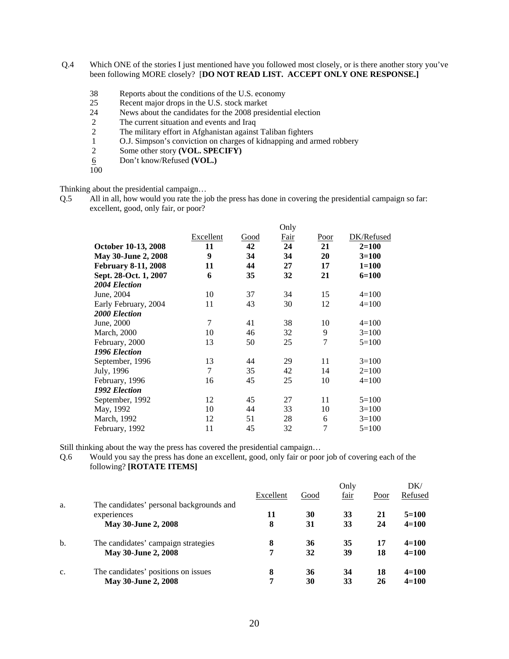- Q.4 Which ONE of the stories I just mentioned have you followed most closely, or is there another story you've been following MORE closely? [**DO NOT READ LIST. ACCEPT ONLY ONE RESPONSE.]** 
	- 38 Reports about the conditions of the U.S. economy
	- 25 Recent major drops in the U.S. stock market
	- 24 News about the candidates for the 2008 presidential election<br>2 The current situation and events and Iraq
	- The current situation and events and Iraq
	- 2 The military effort in Afghanistan against Taliban fighters<br>1 O.J. Simpson's conviction on charges of kidnapping and an
	- 1 O.J. Simpson's conviction on charges of kidnapping and armed robbery<br>2 Some other story (VOL. SPECIFY)
	- Some other story **(VOL. SPECIFY)**
	- 6 Don't know/Refused **(VOL.)**
	- 100

Thinking about the presidential campaign…

Q.5 All in all, how would you rate the job the press has done in covering the presidential campaign so far: excellent, good, only fair, or poor?

|                            |           |      | Only |      |            |
|----------------------------|-----------|------|------|------|------------|
|                            | Excellent | Good | Fair | Poor | DK/Refused |
| October 10-13, 2008        | 11        | 42   | 24   | 21   | $2 = 100$  |
| May 30-June 2, 2008        | 9         | 34   | 34   | 20   | $3=100$    |
| <b>February 8-11, 2008</b> | 11        | 44   | 27   | 17   | $1 = 100$  |
| Sept. 28-Oct. 1, 2007      | 6         | 35   | 32   | 21   | $6=100$    |
| 2004 Election              |           |      |      |      |            |
| June, 2004                 | 10        | 37   | 34   | 15   | $4=100$    |
| Early February, 2004       | 11        | 43   | 30   | 12   | $4=100$    |
| 2000 Election              |           |      |      |      |            |
| June, 2000                 | 7         | 41   | 38   | 10   | $4=100$    |
| <b>March</b> , 2000        | 10        | 46   | 32   | 9    | $3=100$    |
| February, 2000             | 13        | 50   | 25   | 7    | $5=100$    |
| 1996 Election              |           |      |      |      |            |
| September, 1996            | 13        | 44   | 29   | 11   | $3=100$    |
| July, 1996                 | 7         | 35   | 42   | 14   | $2=100$    |
| February, 1996             | 16        | 45   | 25   | 10   | $4=100$    |
| 1992 Election              |           |      |      |      |            |
| September, 1992            | 12        | 45   | 27   | 11   | $5=100$    |
| May, 1992                  | 10        | 44   | 33   | 10   | $3=100$    |
| March, 1992                | 12        | 51   | 28   | 6    | $3=100$    |
| February, 1992             | 11        | 45   | 32   | 7    | $5=100$    |

Still thinking about the way the press has covered the presidential campaign…

Q.6 Would you say the press has done an excellent, good, only fair or poor job of covering each of the following? **[ROTATE ITEMS]** 

|                |                                          |           |      | Only |      | DK/       |
|----------------|------------------------------------------|-----------|------|------|------|-----------|
|                |                                          | Excellent | Good | fair | Poor | Refused   |
| a.             | The candidates' personal backgrounds and |           |      |      |      |           |
|                | experiences                              | 11        | 30   | 33   | 21   | $5=100$   |
|                | May 30-June 2, 2008                      | 8         | 31   | 33   | 24   | $4 = 100$ |
| $b$            | The candidates' campaign strategies      | 8         | 36   | 35   | 17   | $4=100$   |
|                | May 30-June 2, 2008                      | 7         | 32   | 39   | 18   | $4 = 100$ |
| $\mathbf{c}$ . | The candidates' positions on issues      | 8         | 36   | 34   | 18   | $4=100$   |
|                | <b>May 30-June 2, 2008</b>               | 7         | 30   | 33   | 26   | $4 = 100$ |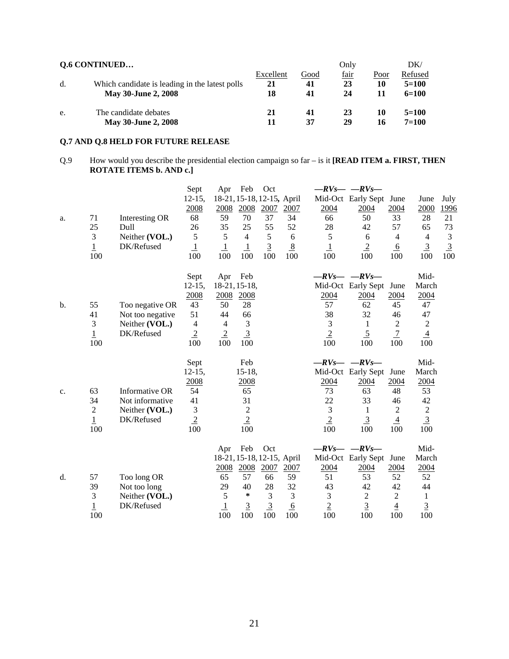|    | <b>Q.6 CONTINUED</b>                                                         |                       |                  | Only             |            | DK/                           |
|----|------------------------------------------------------------------------------|-----------------------|------------------|------------------|------------|-------------------------------|
| d. | Which candidate is leading in the latest polls<br><b>May 30-June 2, 2008</b> | Excellent<br>21<br>18 | Good<br>41<br>41 | fair<br>23<br>24 | Poor<br>10 | Refused<br>$5=100$<br>$6=100$ |
| e. | The candidate debates<br><b>May 30-June 2, 2008</b>                          | 21                    | 41<br>37         | 23<br>29         | 10<br>16   | $5=100$<br>$7 = 100$          |

# **Q.7 AND Q.8 HELD FOR FUTURE RELEASE**

#### Q.9 How would you describe the presidential election campaign so far – is it **[READ ITEM a. FIRST, THEN ROTATE ITEMS b. AND c.]**

|    |                       |                  | Sept           | Apr                            | Feb                   | Oct                   |                |                       | $-RV_S - RV_S -$      |                  |                       |                |
|----|-----------------------|------------------|----------------|--------------------------------|-----------------------|-----------------------|----------------|-----------------------|-----------------------|------------------|-----------------------|----------------|
|    |                       |                  | $12 - 15$ ,    | 18-21, 15-18, 12-15, April     |                       |                       |                |                       | Mid-Oct Early Sept    | June             | June                  | July           |
|    |                       |                  | 2008           | 2008                           | 2008                  | 2007                  | 2007           | 2004                  | 2004                  | 2004             | 2000                  | 1996           |
| a. | 71                    | Interesting OR   | 68             | 59                             | 70                    | 37                    | 34             | 66                    | 50                    | 33               | 28                    | 21             |
|    | 25                    | Dull             | 26             | 35                             | 25                    | 55                    | 52             | 28                    | 42                    | 57               | 65                    | 73             |
|    | 3                     | Neither (VOL.)   | $\sqrt{5}$     | 5                              | $\overline{4}$        | 5                     | 6              | 5                     | 6                     | $\overline{4}$   | $\overline{4}$        | $\mathfrak{Z}$ |
|    | $\overline{1}$        | DK/Refused       | $\overline{1}$ | $\perp$                        | $\overline{1}$        | $\overline{3}$        | 8              | $\overline{1}$        | $\overline{2}$        | 6                | $\overline{3}$        | $\overline{3}$ |
|    | 100                   |                  | 100            | 100                            | 100                   | 100                   | 100            | 100                   | 100                   | 100              | 100                   | 100            |
|    |                       |                  | Sept           | Apr                            | Feb                   |                       |                |                       | $-RV_S - RV_S -$      |                  | Mid-                  |                |
|    |                       |                  | $12 - 15$ ,    | 18-21, 15-18,                  |                       |                       |                |                       | Mid-Oct Early Sept    | June             | March                 |                |
|    |                       |                  | 2008           | 2008                           | 2008                  |                       |                | 2004                  | 2004                  | 2004             | 2004                  |                |
| b. | 55                    | Too negative OR  | 43             | 50                             | 28                    |                       |                | 57                    | 62                    | 45               | 47                    |                |
|    | 41                    | Not too negative | 51             | 44                             | 66                    |                       |                | 38                    | 32                    | 46               | 47                    |                |
|    | $\mathfrak{Z}$        | Neither (VOL.)   | $\overline{4}$ | $\overline{4}$                 | 3                     |                       |                | 3                     | $\mathbf{1}$          | $\sqrt{2}$       | $\sqrt{2}$            |                |
|    | $\overline{1}$        | DK/Refused       | $\overline{2}$ | $\overline{2}$                 | $\overline{3}$        |                       |                | $\overline{2}$        | $\overline{5}$        | $\overline{1}$   | $\overline{4}$        |                |
|    | 100                   |                  | 100            | 100                            | 100                   |                       |                | 100                   | 100                   | 100              | 100                   |                |
|    |                       |                  |                |                                |                       |                       |                |                       |                       |                  |                       |                |
|    |                       |                  | Sept           |                                | Feb                   |                       |                |                       | $-RV_S - RV_S -$      |                  | Mid-                  |                |
|    |                       |                  | $12 - 15$ ,    |                                | $15-18$ ,             |                       |                |                       | Mid-Oct Early Sept    | June             | March                 |                |
|    |                       |                  | 2008           |                                | 2008                  |                       |                | 2004                  | 2004                  | 2004             | 2004                  |                |
| c. | 63                    | Informative OR   | 54             |                                | 65                    |                       |                | 73                    | 63                    | 48               | 53                    |                |
|    | 34                    | Not informative  | 41             |                                | 31                    |                       |                | 22                    | 33                    | 46               | 42                    |                |
|    | $\sqrt{2}$            | Neither (VOL.)   | $\mathfrak 3$  |                                | $\overline{c}$        |                       |                | 3                     | $\mathbf{1}$          | $\sqrt{2}$       | $\overline{c}$        |                |
|    | $\overline{1}$        | DK/Refused       | $\overline{2}$ |                                | $\overline{2}$        |                       |                | $\overline{2}$        | $\overline{3}$        | $\overline{4}$   | $\overline{3}$        |                |
|    | 100                   |                  | 100            |                                | 100                   |                       |                | 100                   | 100                   | 100              | 100                   |                |
|    |                       |                  |                | Apr                            | Feb                   | Oct                   |                |                       | $-RV_S - RV_S -$      |                  | Mid-                  |                |
|    |                       |                  |                | 18-21, 15-18, 12-15, April     |                       |                       |                |                       | Mid-Oct Early Sept    | June             | March                 |                |
|    |                       |                  |                | 2008                           | 2008                  | 2007                  | 2007           | 2004                  | 2004                  | 2004             | 2004                  |                |
| d. | 57                    | Too long OR      |                | 65                             | 57                    | 66                    | 59             | 51                    | 53                    | 52               | 52                    |                |
|    | 39                    | Not too long     |                | 29                             | 40                    | 28                    | 32             | 43                    | 42                    | 42               | 44                    |                |
|    | 3                     | Neither (VOL.)   |                | 5                              | $\ast$                | 3                     | $\mathfrak{Z}$ | $\mathfrak{Z}$        | $\mathbf{2}$          | $\boldsymbol{2}$ | $\mathbf{1}$          |                |
|    | $\overline{1}$<br>100 | DK/Refused       |                | $\overline{\mathbf{1}}$<br>100 | $\overline{3}$<br>100 | $\overline{3}$<br>100 | 6<br>100       | $\overline{2}$<br>100 | $\overline{3}$<br>100 | $\overline{4}$   | $\overline{3}$<br>100 |                |